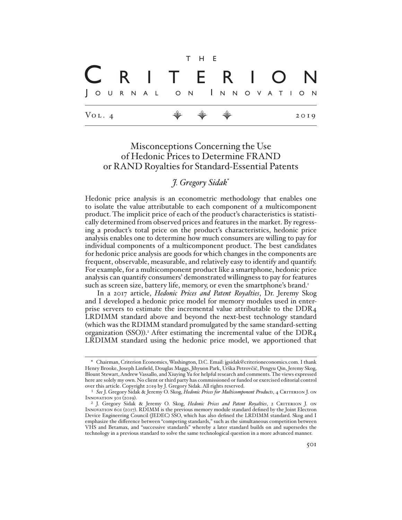|  |                     |  |  |                       |  | T H E                                                                |  |  |  |  |  |                   |  |      |  |
|--|---------------------|--|--|-----------------------|--|----------------------------------------------------------------------|--|--|--|--|--|-------------------|--|------|--|
|  |                     |  |  |                       |  |                                                                      |  |  |  |  |  | C R I T E R I O N |  |      |  |
|  |                     |  |  | JOURNAL ON INNOVATION |  |                                                                      |  |  |  |  |  |                   |  |      |  |
|  | $V_{\text{OL}}$ . 4 |  |  |                       |  | $\begin{array}{ccccccccccccc} \psi & \psi & \psi & \psi \end{array}$ |  |  |  |  |  |                   |  | 2019 |  |

# Misconceptions Concerning the Use of Hedonic Prices to Determine FRAND or RAND Royalties for Standard-Essential Patents

*J. Gregory Sidak*\*

Hedonic price analysis is an econometric methodology that enables one to isolate the value attributable to each component of a multicomponent product. The implicit price of each of the product's characteristics is statistically determined from observed prices and features in the market. By regressing a product's total price on the product's characteristics, hedonic price analysis enables one to determine how much consumers are willing to pay for individual components of a multicomponent product. The best candidates for hedonic price analysis are goods for which changes in the components are frequent, observable, measurable, and relatively easy to identify and quantify. For example, for a multicomponent product like a smartphone, hedonic price analysis can quantify consumers' demonstrated willingness to pay for features such as screen size, battery life, memory, or even the smartphone's brand.<sup>1</sup>

In a 2017 article, *Hedonic Prices and Patent Royalties*, Dr. Jeremy Skog and I developed a hedonic price model for memory modules used in enterprise servers to estimate the incremental value attributable to the DDR4 LRDIMM standard above and beyond the next-best technology standard (which was the RDIMM standard promulgated by the same standard-setting organization (SSO)).<sup>2</sup> After estimating the incremental value of the DDR<sub>4</sub> LRDIMM standard using the hedonic price model, we apportioned that

<sup>\*</sup> Chairman, Criterion Economics, Washington, D.C. Email: jgsidak@criterioneconomics.com. I thank Henry Brooke, Joseph Linfield, Douglas Maggs, Jihyuon Park, Urška Petrovčič, Pengyu Qin, Jeremy Skog, Blount Stewart, Andrew Vassallo, and Xiuying Yu for helpful research and comments. The views expressed here are solely my own. No client or third party has commissioned or funded or exercised editorial control over this article. Copyright 2019 by J. Gregory Sidak. All rights reserved.

<sup>1</sup> *See* J. Gregory Sidak & Jeremy O. Skog, *Hedonic Prices for Multicomponent Products*, 4 Criterion J. on Innovation 301 (2019).

<sup>&</sup>lt;sup>2</sup> J. Gregory Sidak & Jeremy O. Skog, *Hedonic Prices and Patent Royalties*, 2 CRITERION J. ON Innovation 601 (2017). RDIMM is the previous memory module standard defined by the Joint Electron Device Engineering Council (JEDEC) SSO, which has also defined the LRDIMM standard. Skog and I emphasize the difference between "competing standards," such as the simultaneous competition between VHS and Betamax, and "successive standards" whereby a later standard builds on and supersedes the technology in a previous standard to solve the same technological question in a more advanced manner.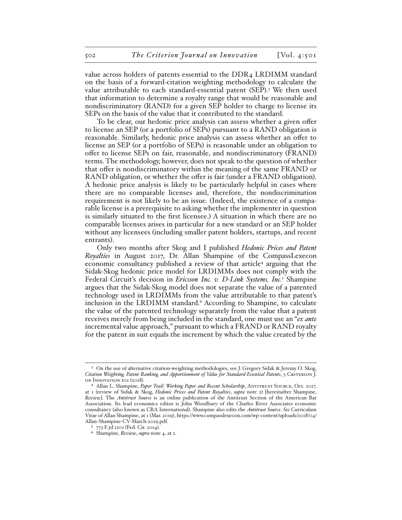value across holders of patents essential to the DDR4 LRDIMM standard on the basis of a forward-citation weighting methodology to calculate the value attributable to each standard-essential patent (SEP).<sup>3</sup> We then used that information to determine a royalty range that would be reasonable and nondiscriminatory (RAND) for a given SEP holder to charge to license its SEPs on the basis of the value that it contributed to the standard.

To be clear, our hedonic price analysis can assess whether a given offer to license an SEP (or a portfolio of SEPs) pursuant to a RAND obligation is reasonable. Similarly, hedonic price analysis can assess whether an offer to license an SEP (or a portfolio of SEPs) is reasonable under an obligation to offer to license SEPs on fair, reasonable, and nondiscriminatory (FRAND) terms. The methodology, however, does not speak to the question of whether that offer is nondiscriminatory within the meaning of the same FRAND or RAND obligation, or whether the offer is fair (under a FRAND obligation). A hedonic price analysis is likely to be particularly helpful in cases where there are no comparable licenses and, therefore, the nondiscrimination requirement is not likely to be an issue. (Indeed, the existence of a comparable license is a prerequisite to asking whether the implementer in question is similarly situated to the first licensee.) A situation in which there are no comparable licenses arises in particular for a new standard or an SEP holder without any licensees (including smaller patent holders, startups, and recent entrants).

Only two months after Skog and I published *Hedonic Prices and Patent Royalties* in August 2017, Dr. Allan Shampine of the CompassLexecon economic consultancy published a review of that article<sup>4</sup> arguing that the Sidak-Skog hedonic price model for LRDIMMs does not comply with the Federal Circuit's decision in *Ericsson Inc. v. D-Link Systems, Inc.*<sup>5</sup> Shampine argues that the Sidak-Skog model does not separate the value of a patented technology used in LRDIMMs from the value attributable to that patent's inclusion in the LRDIMM standard.<sup>6</sup> According to Shampine, to calculate the value of the patented technology separately from the value that a patent receives merely from being included in the standard, one must use an "*ex ante* incremental value approach," pursuant to which a FRAND or RAND royalty for the patent in suit equals the increment by which the value created by the

<sup>3</sup> On the use of alternative citation-weighting methodologies, see J. Gregory Sidak & Jeremy O. Skog, *Citation Weighting, Patent Ranking, and Apportionment of Value for Standard-Essential Patents*, 3 Criterion J. on Innovation 201 (2018).

<sup>&</sup>lt;sup>4</sup> Allan L. Shampine, *Paper Trail: Working Paper and Recent Scholarship*, ANTITRUST SOURCE, Oct. 2017, at 1 (review of Sidak & Skog, *Hedonic Prices and Patent Royalties*, *supra* note 2) [hereinafter Shampine, *Review*]. The *Antitrust Source* is an online publication of the Antitrust Section of the American Bar Association. Its lead economics editor is John Woodbury of the Charles River Associates economic consultancy (also known as CRA International). Shampine also edits the *Antitrust Source*. *See* Curriculum Vitae of Allan Shampine, at 1 (Mar. 2019), https://www.compasslexecon.com/wp-content/uploads/2018/04/ Allan-Shampine-CV-March-2019.pdf.

<sup>5</sup> 773 F.3d 1201 (Fed. Cir. 2014).

<sup>6</sup> Shampine, *Review*, *supra* note 4, at 2.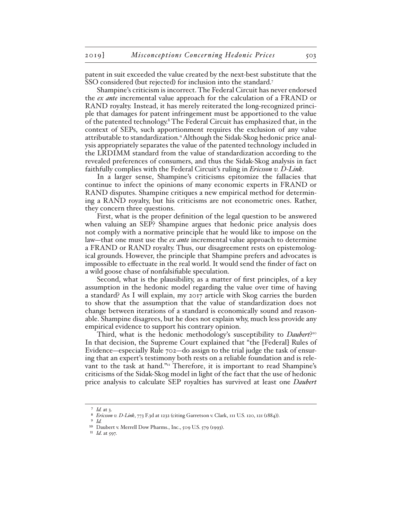patent in suit exceeded the value created by the next-best substitute that the SSO considered (but rejected) for inclusion into the standard.7

Shampine's criticism is incorrect. The Federal Circuit has never endorsed the *ex ante* incremental value approach for the calculation of a FRAND or RAND royalty. Instead, it has merely reiterated the long-recognized principle that damages for patent infringement must be apportioned to the value of the patented technology.<sup>8</sup> The Federal Circuit has emphasized that, in the context of SEPs, such apportionment requires the exclusion of any value attributable to standardization.9 Although the Sidak-Skog hedonic price analysis appropriately separates the value of the patented technology included in the LRDIMM standard from the value of standardization according to the revealed preferences of consumers, and thus the Sidak-Skog analysis in fact faithfully complies with the Federal Circuit's ruling in *Ericsson v. D-Link*.

In a larger sense, Shampine's criticisms epitomize the fallacies that continue to infect the opinions of many economic experts in FRAND or RAND disputes. Shampine critiques a new empirical method for determining a RAND royalty, but his criticisms are not econometric ones. Rather, they concern three questions.

First, what is the proper definition of the legal question to be answered when valuing an SEP? Shampine argues that hedonic price analysis does not comply with a normative principle that he would like to impose on the law—that one must use the *ex ante* incremental value approach to determine a FRAND or RAND royalty. Thus, our disagreement rests on epistemological grounds. However, the principle that Shampine prefers and advocates is impossible to effectuate in the real world. It would send the finder of fact on a wild goose chase of nonfalsifiable speculation.

Second, what is the plausibility, as a matter of first principles, of a key assumption in the hedonic model regarding the value over time of having a standard? As I will explain, my 2017 article with Skog carries the burden to show that the assumption that the value of standardization does not change between iterations of a standard is economically sound and reasonable. Shampine disagrees, but he does not explain why, much less provide any empirical evidence to support his contrary opinion.

Third, what is the hedonic methodology's susceptibility to *Daubert*?10 In that decision, the Supreme Court explained that "the [Federal] Rules of Evidence—especially Rule 702—do assign to the trial judge the task of ensuring that an expert's testimony both rests on a reliable foundation and is relevant to the task at hand."<sup>11</sup> Therefore, it is important to read Shampine's criticisms of the Sidak-Skog model in light of the fact that the use of hedonic price analysis to calculate SEP royalties has survived at least one *Daubert*

<sup>7</sup> *Id.* at 3.

<sup>8</sup> *Ericsson v. D-Link*, 773 F.3d at 1232 (citing Garretson v. Clark, 111 U.S. 120, 121 (1884)).

<sup>9</sup> *Id.*

<sup>10</sup> Daubert v. Merrell Dow Pharms., Inc., 509 U.S. 579 (1993).

<sup>11</sup> *Id*. at 597.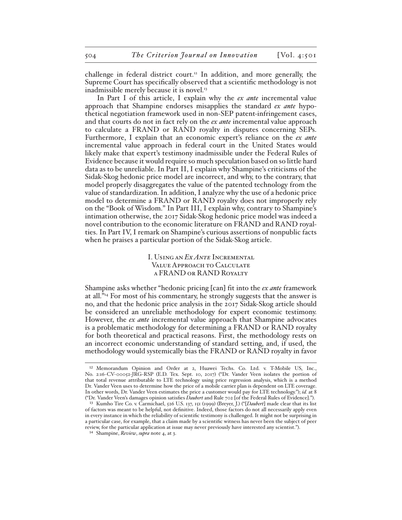challenge in federal district court.<sup>12</sup> In addition, and more generally, the Supreme Court has specifically observed that a scientific methodology is not inadmissible merely because it is novel.<sup>13</sup>

In Part I of this article, I explain why the *ex ante* incremental value approach that Shampine endorses misapplies the standard *ex ante* hypothetical negotiation framework used in non-SEP patent-infringement cases, and that courts do not in fact rely on the *ex ante* incremental value approach to calculate a FRAND or RAND royalty in disputes concerning SEPs. Furthermore, I explain that an economic expert's reliance on the *ex ante* incremental value approach in federal court in the United States would likely make that expert's testimony inadmissible under the Federal Rules of Evidence because it would require so much speculation based on so little hard data as to be unreliable. In Part II, I explain why Shampine's criticisms of the Sidak-Skog hedonic price model are incorrect, and why, to the contrary, that model properly disaggregates the value of the patented technology from the value of standardization. In addition, I analyze why the use of a hedonic price model to determine a FRAND or RAND royalty does not improperly rely on the "Book of Wisdom." In Part III, I explain why, contrary to Shampine's intimation otherwise, the 2017 Sidak-Skog hedonic price model was indeed a novel contribution to the economic literature on FRAND and RAND royalties. In Part IV, I remark on Shampine's curious assertions of nonpublic facts when he praises a particular portion of the Sidak-Skog article.

> I. Using an *Ex Ante* Incremental Value Approach to Calculate a FRAND or RAND Royalty

Shampine asks whether "hedonic pricing [can] fit into the *ex ante* framework at all."14 For most of his commentary, he strongly suggests that the answer is no, and that the hedonic price analysis in the 2017 Sidak-Skog article should be considered an unreliable methodology for expert economic testimony. However, the *ex ante* incremental value approach that Shampine advocates is a problematic methodology for determining a FRAND or RAND royalty for both theoretical and practical reasons. First, the methodology rests on an incorrect economic understanding of standard setting, and, if used, the methodology would systemically bias the FRAND or RAND royalty in favor

<sup>12</sup> Memorandum Opinion and Order at 2, Huawei Techs. Co. Ltd. v. T-Mobile US, Inc., No. 2:16-CV-00052-JRG-RSP (E.D. Tex. Sept. 10, 2017) ("Dr. Vander Veen isolates the portion of that total revenue attributable to LTE technology using price regression analysis, which is a method Dr. Vander Veen uses to determine how the price of a mobile carrier plan is dependent on LTE coverage. In other words, Dr. Vander Veen estimates the price a customer would pay for LTE technology."); *id.* at 8 ("Dr. Vander Veen's damages opinion satisfies *Daubert* and Rule 702 [of the Federal Rules of Evidence].").

<sup>13</sup> Kumho Tire Co. v. Carmichael, 526 U.S. 137, 151 (1999) (Breyer, J.) ("[*Daubert*] made clear that its list of factors was meant to be helpful, not definitive. Indeed, those factors do not all necessarily apply even in every instance in which the reliability of scientific testimony is challenged. It might not be surprising in a particular case, for example, that a claim made by a scientific witness has never been the subject of peer review, for the particular application at issue may never previously have interested any scientist.").

<sup>14</sup> Shampine, *Review*, *supra* note 4, at 3.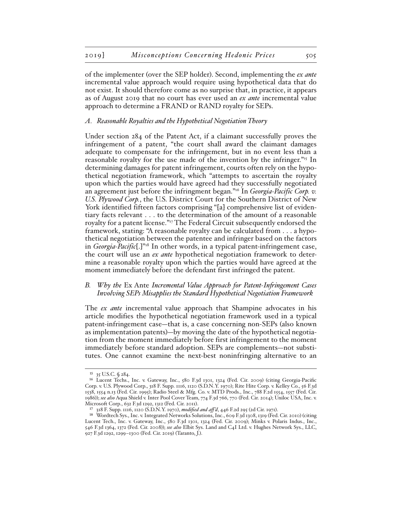of the implementer (over the SEP holder). Second, implementing the *ex ante* incremental value approach would require using hypothetical data that do not exist. It should therefore come as no surprise that, in practice, it appears as of August 2019 that no court has ever used an *ex ante* incremental value approach to determine a FRAND or RAND royalty for SEPs.

#### *A. Reasonable Royalties and the Hypothetical Negotiation Theory*

Under section 284 of the Patent Act, if a claimant successfully proves the infringement of a patent, "the court shall award the claimant damages adequate to compensate for the infringement, but in no event less than a reasonable royalty for the use made of the invention by the infringer."<sup>15</sup> In determining damages for patent infringement, courts often rely on the hypothetical negotiation framework, which "attempts to ascertain the royalty upon which the parties would have agreed had they successfully negotiated an agreement just before the infringment began."16 In *Georgia-Pacific Corp. v. U.S. Plywood Corp.*, the U.S. District Court for the Southern District of New York identified fifteen factors comprising "[a] comprehensive list of evidentiary facts relevant . . . to the determination of the amount of a reasonable royalty for a patent license."17 The Federal Circuit subsequently endorsed the framework, stating: "A reasonable royalty can be calculated from . . . a hypothetical negotiation between the patentee and infringer based on the factors in *Georgia-Pacific*[.]"18 In other words, in a typical patent-infringement case, the court will use an *ex ante* hypothetical negotiation framework to determine a reasonable royalty upon which the parties would have agreed at the moment immediately before the defendant first infringed the patent.

### *B. Why the* Ex Ante *Incremental Value Approach for Patent-Infringement Cases Involving SEPs Misapplies the Standard Hypothetical Negotiation Framework*

The *ex ante* incremental value approach that Shampine advocates in his article modifies the hypothetical negotiation framework used in a typical patent-infringement case—that is, a case concerning non-SEPs (also known as implementation patents)—by moving the date of the hypothetical negotiation from the moment immediately before first infringement to the moment immediately before standard adoption. SEPs are complements—not substitutes. One cannot examine the next-best noninfringing alternative to an

<sup>15</sup> 35 U.S.C. § 284.

<sup>16</sup> Lucent Techs., Inc. v. Gateway, Inc., 580 F.3d 1301, 1324 (Fed. Cir. 2009) (citing Georgia-Pacific Corp. v. U.S. Plywood Corp., 318 F. Supp. 1116, 1120 (S.D.N.Y. 1970); Rite Hite Corp. v. Kelley Co., 56 F.3d 1538, 1554 n.13 (Fed. Cir. 1995); Radio Steel & Mfg. Co. v. MTD Prods., Inc., 788 F.2d 1554, 1557 (Fed. Cir. 1986)); *see also* Aqua Shield v. Inter Pool Cover Team, 774 F.3d 766, 770 (Fed. Cir. 2014); Uniloc USA, Inc. v. Microsoft Corp., 632 F.3d 1292, 1312 (Fed. Cir. 2011).

<sup>17</sup> 318 F. Supp. 1116, 1120 (S.D.N.Y. 1970), *modified and aff 'd*, 446 F.2d 295 (2d Cir. 1971).

<sup>18</sup> Wordtech Sys., Inc. v. Integrated Networks Solutions, Inc., 609 F.3d 1308, 1319 (Fed. Cir. 2010) (citing Lucent Tech., Inc. v. Gateway, Inc., 580 F.3d 1301, 1324 (Fed. Cir. 2009); Minks v. Polaris Indus., Inc., 546 F.3d 1364, 1372 (Fed. Cir. 2008)); *see also* Elbit Sys. Land and C4I Ltd. v. Hughes Network Sys., LLC, 927 F.3d 1292, 1299–1300 (Fed. Cir. 2019) (Taranto, J.).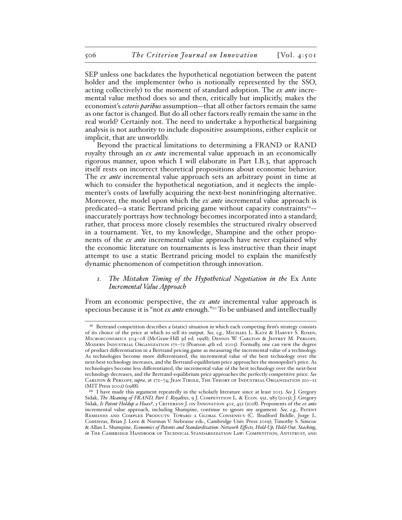SEP unless one backdates the hypothetical negotiation between the patent holder and the implementer (who is notionally represented by the SSO, acting collectively) to the moment of standard adoption. The *ex ante* incremental value method does so and then, critically but implicitly, makes the economist's *ceteris paribus* assumption—that all other factors remain the same as one factor is changed. But do all other factors really remain the same in the real world? Certainly not. The need to undertake a hypothetical bargaining analysis is not authority to include dispositive assumptions, either explicit or implicit, that are unworldly.

Beyond the practical limitations to determining a FRAND or RAND royalty through an *ex ante* incremental value approach in an economically rigorous manner, upon which I will elaborate in Part I.B.3, that approach itself rests on incorrect theoretical propositions about economic behavior. The *ex ante* incremental value approach sets an arbitrary point in time at which to consider the hypothetical negotiation, and it neglects the implementer's costs of lawfully acquiring the next-best noninfringing alternative. Moreover, the model upon which the *ex ante* incremental value approach is predicated—a static Bertrand pricing game without capacity constraints<sup>19</sup> inaccurately portrays how technology becomes incorporated into a standard; rather, that process more closely resembles the structured rivalry observed in a tournament. Yet, to my knowledge, Shampine and the other proponents of the *ex ante* incremental value approach have never explained why the economic literature on tournaments is less instructive than their inapt attempt to use a static Bertrand pricing model to explain the manifestly dynamic phenomenon of competition through innovation.

# *1. The Mistaken Timing of the Hypothetical Negotiation in the* Ex Ante *Incremental Value Approach*

From an economic perspective, the *ex ante* incremental value approach is specious because it is "not *ex ante* enough."20 To be unbiased and intellectually

<sup>&</sup>lt;sup>19</sup> Bertrand competition describes a (static) situation in which each competing firm's strategy consists of its choice of the price at which to sell its output. *See, e.g.*, Michael L. Katz & Harvey S. Rosen, MICROECONOMICS 504-08 (McGraw-Hill 3d ed. 1998); DENNIS W. CARLTON & JEFFREY M. PERLOFF, Modern Industrial Organization 171–72 (Pearson 4th ed. 2005). Formally, one can view the degree of product differentiation in a Bertrand pricing game as measuring the incremental value of a technology. As technologies become more differentiated, the incremental value of the best technology over the next-best technology increases, and the Bertrand-equilibrium price approaches the monopolist's price. As technologies become less differentiated, the incremental value of the best technology over the next-best technology decreases, and the Bertrand-equilibrium price approaches the perfectly competitive price. *See*  CARLTON & PERLOFF, *supra*, at 172-74; JEAN TIROLE, THE THEORY OF INDUSTRIAL ORGANIZATION 210-12 (MIT Press 2002) (1988).

<sup>20</sup> I have made this argument repeatedly in the scholarly literature since at least 2013. *See* J. Gregory Sidak, *The Meaning of FRAND, Part I: Royalties*, 9 J. Competition L. & Econ. 931, 983 (2013); J. Gregory Sidak, *Is Patent Holdup a Hoax?*, 3 CRITERION J. ON INNOVATION 401, 452 (2018). Proponents of the *ex ante* incremental value approach, including Shampine, continue to ignore my argument. See, e.g., PATENT Remedies and Complex Products: Toward a Global Consensus (C. Bradford Biddle, Jorge L. Contreras, Brian J. Love & Norman V. Siebrasse eds., Cambridge Univ. Press 2019); Timothy S. Simcoe & Allan L. Shampine, *Economics of Patents and Standardization: Network Effects, Hold-Up, Hold-Out, Stacking*, *in* The Cambridge Handbook of Technical Standardization Law: Competition, Antitrust, and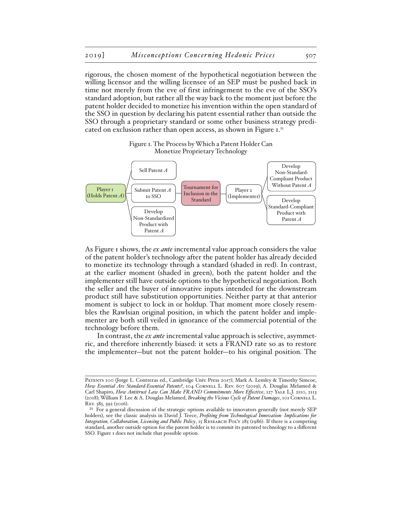rigorous, the chosen moment of the hypothetical negotiation between the willing licensor and the willing licensee of an SEP must be pushed back in time not merely from the eve of first infringement to the eve of the SSO's standard adoption, but rather all the way back to the moment just before the patent holder decided to monetize his invention within the open standard of the SSO in question by declaring his patent essential rather than outside the SSO through a proprietary standard or some other business strategy predicated on exclusion rather than open access, as shown in Figure 1.<sup>21</sup>



Figure 1. The Process by Which a Patent Holder Can Monetize Proprietary Technology

As Figure 1 shows, the *ex ante* incremental value approach considers the value of the patent holder's technology after the patent holder has already decided to monetize its technology through a standard (shaded in red). In contrast, at the earlier moment (shaded in green), both the patent holder and the implementer still have outside options to the hypothetical negotiation. Both the seller and the buyer of innovative inputs intended for the downstream product still have substitution opportunities. Neither party at that anterior moment is subject to lock in or holdup. That moment more closely resembles the Rawlsian original position, in which the patent holder and implementer are both still veiled in ignorance of the commercial potential of the technology before them.

In contrast, the *ex ante* incremental value approach is selective, asymmetric, and therefore inherently biased: it sets a FRAND rate so as to restore the implementer—but not the patent holder—to his original position. The

PATENTS 100 (Jorge L. Contreras ed., Cambridge Univ. Press 2017); Mark A. Lemley & Timothy Simcoe, How Essential Are Standard-Essential Patents?, 104 CORNELL L. REV. 607 (2019); A. Douglas Melamed & Carl Shapiro, *How Antitrust Law Can Make FRAND Commitments More Effective*, 127 Yale L.J. 2110, 2113 (2018); William F. Lee & A. Douglas Melamed, *Breaking the Vicious Cycle of Patent Damages*, 101 CORNELL L. Rev. 385, 392 (2016).

<sup>21</sup> For a general discussion of the strategic options available to innovators generally (not merely SEP holders), see the classic analysis in David J. Teece, *Profiting from Technological Innovation: Implications for Integration, Collaboration, Licensing and Public Policy*, 15 RESEARCH POLY 285 (1986). If there is a competing standard, another outside option for the patent holder is to commit its patented technology to a different SSO. Figure 1 does not include that possible option.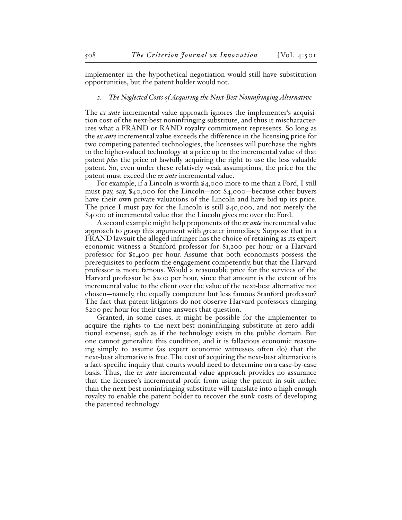implementer in the hypothetical negotiation would still have substitution opportunities, but the patent holder would not.

#### *2. The Neglected Costs of Acquiring the Next-Best Noninfringing Alternative*

The *ex ante* incremental value approach ignores the implementer's acquisition cost of the next-best noninfringing substitute, and thus it mischaracterizes what a FRAND or RAND royalty commitment represents. So long as the *ex ante* incremental value exceeds the difference in the licensing price for two competing patented technologies, the licensees will purchase the rights to the higher-valued technology at a price up to the incremental value of that patent *plus* the price of lawfully acquiring the right to use the less valuable patent. So, even under these relatively weak assumptions, the price for the patent must exceed the *ex ante* incremental value.

For example, if a Lincoln is worth \$4,000 more to me than a Ford, I still must pay, say, \$40,000 for the Lincoln—not \$4,000—because other buyers have their own private valuations of the Lincoln and have bid up its price. The price I must pay for the Lincoln is still \$40,000, and not merely the \$4000 of incremental value that the Lincoln gives me over the Ford.

A second example might help proponents of the *ex ante* incremental value approach to grasp this argument with greater immediacy. Suppose that in a FRAND lawsuit the alleged infringer has the choice of retaining as its expert economic witness a Stanford professor for \$1,200 per hour or a Harvard professor for \$1,400 per hour. Assume that both economists possess the prerequisites to perform the engagement competently, but that the Harvard professor is more famous. Would a reasonable price for the services of the Harvard professor be \$200 per hour, since that amount is the extent of his incremental value to the client over the value of the next-best alternative not chosen—namely, the equally competent but less famous Stanford professor? The fact that patent litigators do not observe Harvard professors charging \$200 per hour for their time answers that question.

Granted, in some cases, it might be possible for the implementer to acquire the rights to the next-best noninfringing substitute at zero additional expense, such as if the technology exists in the public domain. But one cannot generalize this condition, and it is fallacious economic reasoning simply to assume (as expert economic witnesses often do) that the next-best alternative is free. The cost of acquiring the next-best alternative is a fact-specific inquiry that courts would need to determine on a case-by-case basis. Thus, the *ex ante* incremental value approach provides no assurance that the licensee's incremental profit from using the patent in suit rather than the next-best noninfringing substitute will translate into a high enough royalty to enable the patent holder to recover the sunk costs of developing the patented technology.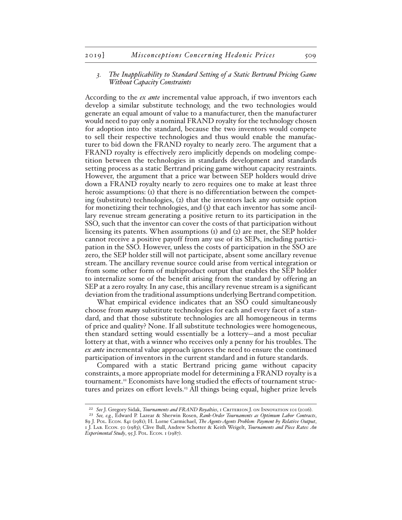# *3. The Inapplicability to Standard Setting of a Static Bertrand Pricing Game Without Capacity Constraints*

According to the *ex ante* incremental value approach, if two inventors each develop a similar substitute technology, and the two technologies would generate an equal amount of value to a manufacturer, then the manufacturer would need to pay only a nominal FRAND royalty for the technology chosen for adoption into the standard, because the two inventors would compete to sell their respective technologies and thus would enable the manufacturer to bid down the FRAND royalty to nearly zero. The argument that a FRAND royalty is effectively zero implicitly depends on modeling competition between the technologies in standards development and standards setting process as a static Bertrand pricing game without capacity restraints. However, the argument that a price war between SEP holders would drive down a FRAND royalty nearly to zero requires one to make at least three heroic assumptions: (1) that there is no differentiation between the competing (substitute) technologies, (2) that the inventors lack any outside option for monetizing their technologies, and (3) that each inventor has some ancillary revenue stream generating a positive return to its participation in the SSO, such that the inventor can cover the costs of that participation without licensing its patents. When assumptions (1) and (2) are met, the SEP holder cannot receive a positive payoff from any use of its SEPs, including participation in the SSO. However, unless the costs of participation in the SSO are zero, the SEP holder still will not participate, absent some ancillary revenue stream. The ancillary revenue source could arise from vertical integration or from some other form of multiproduct output that enables the SEP holder to internalize some of the benefit arising from the standard by offering an SEP at a zero royalty. In any case, this ancillary revenue stream is a significant deviation from the traditional assumptions underlying Bertrand competition.

What empirical evidence indicates that an SSO could simultaneously choose from *many* substitute technologies for each and every facet of a standard, and that those substitute technologies are all homogeneous in terms of price and quality? None. If all substitute technologies were homogeneous, then standard setting would essentially be a lottery—and a most peculiar lottery at that, with a winner who receives only a penny for his troubles. The *ex ante* incremental value approach ignores the need to ensure the continued participation of inventors in the current standard and in future standards.

Compared with a static Bertrand pricing game without capacity constraints, a more appropriate model for determining a FRAND royalty is a tournament.22 Economists have long studied the effects of tournament structures and prizes on effort levels.23 All things being equal, higher prize levels

<sup>22</sup> *See* J. Gregory Sidak, *Tournaments and FRAND Royalties*, 1 Criterion J. on Innovation 101 (2016).

<sup>23</sup> *See, e.g.*, Edward P. Lazear & Sherwin Rosen, *Rank-Order Tournaments as Optimum Labor Contracts*, 89 J. Pol. Econ. 841 (1981); H. Lorne Carmichael, *The Agents-Agents Problem: Payment by Relative Output*, 1 J. Lab. Econ. 50 (1983); Clive Bull, Andrew Schotter & Keith Weigelt, *Tournaments and Piece Rates: An Experimental Study*, 95 J. Pol. Econ. 1 (1987).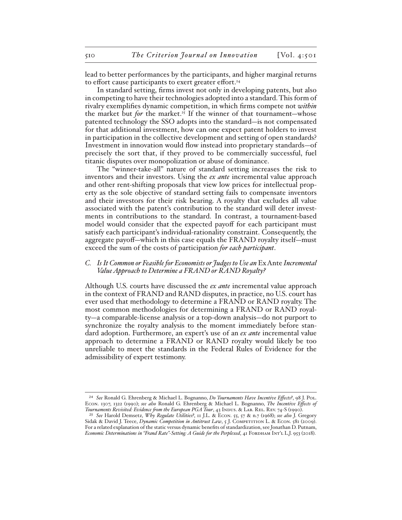lead to better performances by the participants, and higher marginal returns to effort cause participants to exert greater effort.<sup>24</sup>

In standard setting, firms invest not only in developing patents, but also in competing to have their technologies adopted into a standard. This form of rivalry exemplifies dynamic competition, in which firms compete not *within* the market but *for* the market.<sup>25</sup> If the winner of that tournament—whose patented technology the SSO adopts into the standard—is not compensated for that additional investment, how can one expect patent holders to invest in participation in the collective development and setting of open standards? Investment in innovation would flow instead into proprietary standards—of precisely the sort that, if they proved to be commercially successful, fuel titanic disputes over monopolization or abuse of dominance.

The "winner-take-all" nature of standard setting increases the risk to inventors and their investors. Using the *ex ante* incremental value approach and other rent-shifting proposals that view low prices for intellectual property as the sole objective of standard setting fails to compensate inventors and their investors for their risk bearing. A royalty that excludes all value associated with the patent's contribution to the standard will deter investments in contributions to the standard. In contrast, a tournament-based model would consider that the expected payoff for each participant must satisfy each participant's individual-rationality constraint. Consequently, the aggregate payoff—which in this case equals the FRAND royalty itself—must exceed the sum of the costs of participation *for each participant*.

# *C.* Is It Common or Feasible for Economists or Judges to Use an Ex Ante Incremental *Value Approach to Determine a FRAND or RAND Royalty?*

Although U.S. courts have discussed the *ex ante* incremental value approach in the context of FRAND and RAND disputes, in practice, no U.S. court has ever used that methodology to determine a FRAND or RAND royalty. The most common methodologies for determining a FRAND or RAND royalty—a comparable-license analysis or a top-down analysis—do not purport to synchronize the royalty analysis to the moment immediately before standard adoption. Furthermore, an expert's use of an *ex ante* incremental value approach to determine a FRAND or RAND royalty would likely be too unreliable to meet the standards in the Federal Rules of Evidence for the admissibility of expert testimony.

<sup>24</sup> *See* Ronald G. Ehrenberg & Michael L. Bognanno, *Do Tournaments Have Incentive Effects?*, 98 J. Pol. Econ. 1307, 1322 (1990); *see also* Ronald G. Ehrenberg & Michael L. Bognanno, *The Incentive Effects of Tournaments Revisited: Evidence from the European PGA Tour*, 43 Indus. & Lab. Rel. Rev. 74-S (1990).

<sup>25</sup> *See* Harold Demsetz, *Why Regulate Utilities?*, 11 J.L. & Econ. 55, 57 & n.7 (1968); *see also* J. Gregory Sidak & David J. Teece, *Dynamic Competition in Antitrust Law*, 5 J. COMPETITION L. & ECON. 581 (2009). For a related explanation of the static versus dynamic benefits of standardization, see Jonathan D. Putnam, *Economic Determinations in "Frand Rate"-Setting: A Guide for the Perplexed*, 41 FORDHAM INT'L L.J. 953 (2018).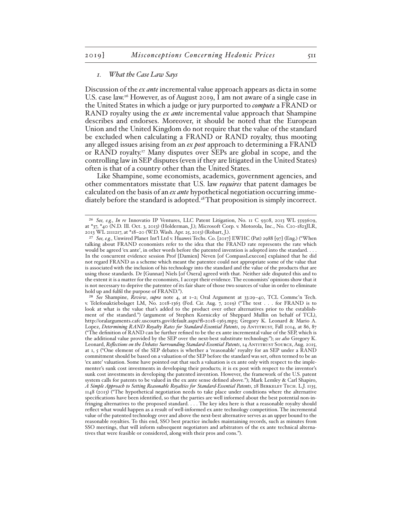#### *1. What the Case Law Says*

Discussion of the *ex ante* incremental value approach appears as dicta in some U.S. case law.<sup>26</sup> However, as of August 2019, I am not aware of a single case in the United States in which a judge or jury purported to *compute* a FRAND or RAND royalty using the *ex ante* incremental value approach that Shampine describes and endorses. Moreover, it should be noted that the European Union and the United Kingdom do not require that the value of the standard be excluded when calculating a FRAND or RAND royalty, thus mooting any alleged issues arising from an *ex post* approach to determining a FRAND or RAND royalty.27 Many disputes over SEPs are global in scope, and the controlling law in SEP disputes (even if they are litigated in the United States) often is that of a country other than the United States.

Like Shampine, some economists, academics, government agencies, and other commentators misstate that U.S. law *requires* that patent damages be calculated on the basis of an *ex ante* hypothetical negotiation occurring immediately before the standard is adopted.<sup>28</sup>That proposition is simply incorrect.

<sup>26</sup> *See, e.g.*, *In re* Innovatio IP Ventures, LLC Patent Litigation, No. 11 C 9308, 2013 WL 5593609, at \*37, \*40 (N.D. Ill. Oct. 3, 2013) (Holderman, J.); Microsoft Corp. v. Motorola, Inc., No. C10-1823JLR, 2013 WL 2111217, at \*18–20 (W.D. Wash. Apr. 25, 2013) (Robart, J.).

<sup>27</sup> *See, e.g.*, Unwired Planet Int'l Ltd v. Huawei Techs. Co. [2017] EWHC (Pat) 2988 [97] (Eng.) ("When talking about FRAND economists refer to the idea that the FRAND rate represents the rate which would be agreed 'ex ante', in other words before the patented invention is adopted into the standard. . . . In the concurrent evidence session Prof [Damien] Neven [of CompassLexecon] explained that he did not regard FRAND as a scheme which meant the patentee could not appropriate some of the value that is associated with the inclusion of his technology into the standard and the value of the products that are using those standards. Dr [Gunnar] Niels [of Oxera] agreed with that. Neither side disputed this and to the extent it is a matter for the economists, I accept their evidence. The economists' opinions show that it is not necessary to deprive the patentee of its fair share of those two sources of value in order to eliminate hold up and fulfil the purpose of FRAND.").

<sup>28</sup> *See* Shampine, *Review*, *supra* note 4, at 1–2; Oral Argument at 33:29–40, TCL Commc'n Tech. v. Telefonaktiebolaget LM, No. 2018-1363 (Fed. Cir. Aug. 7, 2019) ("The test . . . for FRAND is to look at what is the value that's added to the product over other alternatives prior to the establishment of the standard.") (argument of Stephen Korniczky of Sheppard Mullin on behalf of TCL), http://oralarguments.cafc.uscourts.gov/default.aspx?fl=2018-1363.mp3; Gregory K. Leonard & Mario A. Lopez, *Determining RAND Royalty Rates for Standard-Essential Patents*, 29 ANTITRUST, Fall 2014, at 86, 87 ("The definition of RAND can be further refined to be the ex ante incremental value of the SEP, which is the additional value provided by the SEP over the next-best substitute technology."); *see also* Gregory K. Leonard, *Reflections on the Debates Surrounding Standard-Essential Patents*, 14 ANTITRUST SOURCE, Aug. 2015, at 1, 5 ("One element of the SEP debates is whether a 'reasonable' royalty for an SEP under a RAND commitment should be based on a valuation of the SEP before the standard was set, often termed to be an 'ex ante' valuation. Some have pointed out that such a valuation is ex ante only with respect to the implementer's sunk cost investments in developing their products; it is ex post with respect to the inventor's sunk cost investments in developing the patented invention. However, the framework of the U.S. patent system calls for patents to be valued in the ex ante sense defined above."); Mark Lemley & Carl Shapiro, *A Simple Approach to Setting Reasonable Royalties for Standard-Essential Patents*, 28 Berkeley Tech. L.J. 1135, 1148 (2013) ("The hypothetical negotiation needs to take place under conditions where the alternative specifications have been identified, so that the parties are well informed about the best potential non-infringing alternatives to the proposed standard. . . . The key idea here is that a reasonable royalty should reflect what would happen as a result of well-informed ex ante technology competition. The incremental value of the patented technology over and above the next-best alternative serves as an upper bound to the reasonable royalties. To this end, SSO best practice includes maintaining records, such as minutes from SSO meetings, that will inform subsequent negotiators and arbitrators of the ex ante technical alternatives that were feasible or considered, along with their pros and cons.").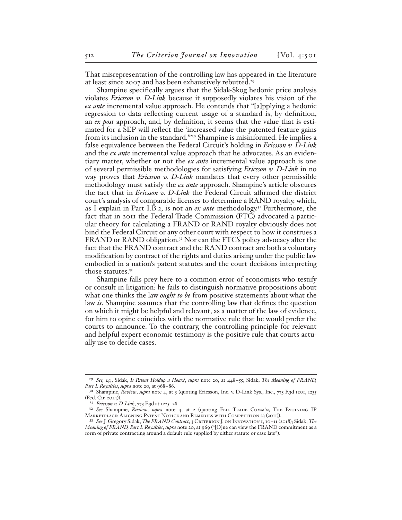That misrepresentation of the controlling law has appeared in the literature at least since 2007 and has been exhaustively rebutted.29

Shampine specifically argues that the Sidak-Skog hedonic price analysis violates *Ericsson v. D-Link* because it supposedly violates his vision of the *ex ante* incremental value approach. He contends that "[a]pplying a hedonic regression to data reflecting current usage of a standard is, by definition, an *ex post* approach, and, by definition, it seems that the value that is estimated for a SEP will reflect the 'increased value the patented feature gains from its inclusion in the standard."<sup>30</sup> Shampine is misinformed. He implies a false equivalence between the Federal Circuit's holding in *Ericsson v. D-Link* and the *ex ante* incremental value approach that he advocates. As an evidentiary matter, whether or not the *ex ante* incremental value approach is one of several permissible methodologies for satisfying *Ericsson v. D-Link* in no way proves that *Ericsson v. D-Link* mandates that every other permissible methodology must satisfy the *ex ante* approach. Shampine's article obscures the fact that in *Ericsson v. D-Link* the Federal Circuit affirmed the district court's analysis of comparable licenses to determine a RAND royalty, which, as I explain in Part I.B.2, is not an *ex ante* methodology.31 Furthermore, the fact that in 2011 the Federal Trade Commission (FTC) advocated a particular theory for calculating a FRAND or RAND royalty obviously does not bind the Federal Circuit or any other court with respect to how it construes a FRAND or RAND obligation.32 Nor can the FTC's policy advocacy alter the fact that the FRAND contract and the RAND contract are both a voluntary modification by contract of the rights and duties arising under the public law embodied in a nation's patent statutes and the court decisions interpreting those statutes.33

Shampine falls prey here to a common error of economists who testify or consult in litigation: he fails to distinguish normative propositions about what one thinks the law *ought to be* from positive statements about what the law *is*. Shampine assumes that the controlling law that defines the question on which it might be helpful and relevant, as a matter of the law of evidence, for him to opine coincides with the normative rule that he would prefer the courts to announce. To the contrary, the controlling principle for relevant and helpful expert economic testimony is the positive rule that courts actually use to decide cases.

<sup>29</sup> *See, e.g.*, Sidak, *Is Patent Holdup a Hoax?*, *supra* note 20, at 448–55; Sidak, *The Meaning of FRAND, Part I: Royalties*, *supra* note 20, at 968–86.

<sup>30</sup> Shampine, *Review*, *supra* note 4, at 3 (quoting Ericsson, Inc. v. D-Link Sys., Inc., 773 F.3d 1201, 1235 (Fed. Cir. 2014)).

<sup>31</sup> *Ericsson v. D-Link*, 773 F.3d at 1225–28.

<sup>32</sup> *See* Shampine, *Review*, *supra* note 4, at 2 (quoting Fed. Trade Comm'n, The Evolving IP Marketplace: Aligning Patent Notice and Remedies with Competition 23 (2011)).

<sup>33</sup> *See* J. Gregory Sidak, *The FRAND Contract*, 3 Criterion J. on Innovation 1, 10–11 (2018); Sidak, *The Meaning of FRAND, Part I: Royalties*, *supra* note 20, at 969 ("[O]ne can view the FRAND commitment as a form of private contracting around a default rule supplied by either statute or case law.").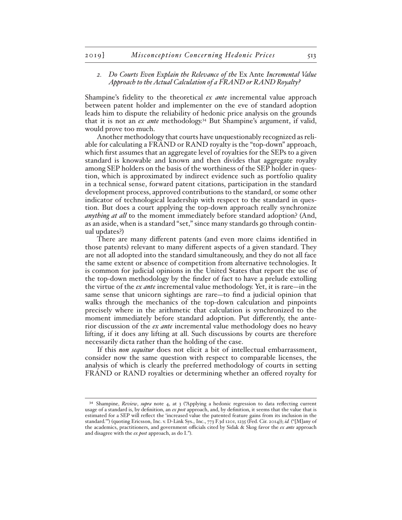# *2. Do Courts Even Explain the Relevance of the* Ex Ante *Incremental Value Approach to the Actual Calculation of a FRAND or RAND Royalty?*

Shampine's fidelity to the theoretical *ex ante* incremental value approach between patent holder and implementer on the eve of standard adoption leads him to dispute the reliability of hedonic price analysis on the grounds that it is not an *ex ante* methodology.34 But Shampine's argument, if valid, would prove too much.

Another methodology that courts have unquestionably recognized as reliable for calculating a FRAND or RAND royalty is the "top-down" approach, which first assumes that an aggregate level of royalties for the SEPs to a given standard is knowable and known and then divides that aggregate royalty among SEP holders on the basis of the worthiness of the SEP holder in question, which is approximated by indirect evidence such as portfolio quality in a technical sense, forward patent citations, participation in the standard development process, approved contributions to the standard, or some other indicator of technological leadership with respect to the standard in question. But does a court applying the top-down approach really synchronize *anything at all* to the moment immediately before standard adoption? (And, as an aside, when is a standard "set," since many standards go through continual updates?)

There are many different patents (and even more claims identified in those patents) relevant to many different aspects of a given standard. They are not all adopted into the standard simultaneously, and they do not all face the same extent or absence of competition from alternative technologies. It is common for judicial opinions in the United States that report the use of the top-down methodology by the finder of fact to have a prelude extolling the virtue of the *ex ante* incremental value methodology. Yet, it is rare—in the same sense that unicorn sightings are rare—to find a judicial opinion that walks through the mechanics of the top-down calculation and pinpoints precisely where in the arithmetic that calculation is synchronized to the moment immediately before standard adoption. Put differently, the anterior discussion of the *ex ante* incremental value methodology does no heavy lifting, if it does any lifting at all. Such discussions by courts are therefore necessarily dicta rather than the holding of the case.

If this *non sequitur* does not elicit a bit of intellectual embarrassment, consider now the same question with respect to comparable licenses, the analysis of which is clearly the preferred methodology of courts in setting FRAND or RAND royalties or determining whether an offered royalty for

<sup>34</sup> Shampine, *Review*, *supra* note 4, at 3 ("Applying a hedonic regression to data reflecting current usage of a standard is, by definition, an *ex post* approach, and, by definition, it seems that the value that is estimated for a SEP will reflect the 'increased value the patented feature gains from its inclusion in the standard.'") (quoting Ericsson, Inc. v. D-Link Sys., Inc., 773 F.3d 1201, 1235 (Fed. Cir. 2014)); *id.* ("[M]any of the academics, practitioners, and government officials cited by Sidak & Skog favor the *ex ante* approach and disagree with the *ex post* approach, as do I.").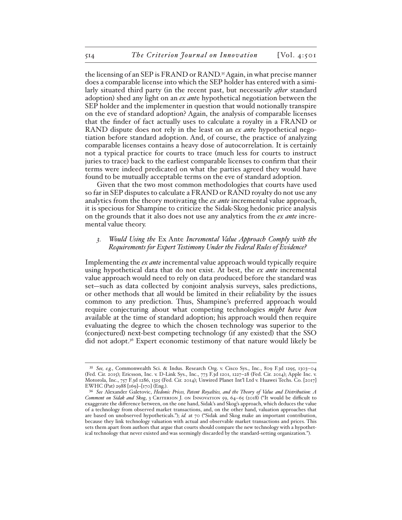the licensing of an SEP is FRAND or RAND.35 Again, in what precise manner does a comparable license into which the SEP holder has entered with a similarly situated third party (in the recent past, but necessarily *after* standard adoption) shed any light on an *ex ant*e hypothetical negotiation between the SEP holder and the implementer in question that would notionally transpire on the eve of standard adoption? Again, the analysis of comparable licenses that the finder of fact actually uses to calculate a royalty in a FRAND or RAND dispute does not rely in the least on an *ex ant*e hypothetical negotiation before standard adoption. And, of course, the practice of analyzing comparable licenses contains a heavy dose of autocorrelation. It is certainly not a typical practice for courts to trace (much less for courts to instruct juries to trace) back to the earliest comparable licenses to confirm that their terms were indeed predicated on what the parties agreed they would have found to be mutually acceptable terms on the eve of standard adoption.

Given that the two most common methodologies that courts have used so far in SEP disputes to calculate a FRAND or RAND royalty do not use any analytics from the theory motivating the *ex ante* incremental value approach, it is specious for Shampine to criticize the Sidak-Skog hedonic price analysis on the grounds that it also does not use any analytics from the *ex ante* incremental value theory.

# *3. Would Using the* Ex Ante *Incremental Value Approach Comply with the Requirements for Expert Testimony Under the Federal Rules of Evidence?*

Implementing the *ex ante* incremental value approach would typically require using hypothetical data that do not exist. At best, the *ex ante* incremental value approach would need to rely on data produced before the standard was set—such as data collected by conjoint analysis surveys, sales predictions, or other methods that all would be limited in their reliability by the issues common to any prediction. Thus, Shampine's preferred approach would require conjecturing about what competing technologies *might have been* available at the time of standard adoption; his approach would then require evaluating the degree to which the chosen technology was superior to the (conjectured) next-best competing technology (if any existed) that the SSO did not adopt.36 Expert economic testimony of that nature would likely be

<sup>35</sup> *See, e.g.*, Commonwealth Sci. & Indus. Research Org. v. Cisco Sys., Inc., 809 F.3d 1295, 1303–04 (Fed. Cir. 2015); Ericsson, Inc. v. D-Link Sys., Inc., 773 F.3d 1201, 1227–28 (Fed. Cir. 2014); Apple Inc. v. Motorola, Inc., 757 F.3d 1286, 1325 (Fed. Cir. 2014); Unwired Planet Int'l Ltd v. Huawei Techs. Co. [2017] EWHC (Pat) 2988 [169]–[170] (Eng.).

<sup>36</sup> *See* Alexander Galetovic, *Hedonic Prices, Patent Royalties, and the Theory of Value and Distribution: A Comment on Sidak and Skog*, 3 Criterion J. on Innovation 59, 64–65 (2018) ("It would be difficult to exaggerate the difference between, on the one hand, Sidak's and Skog's approach, which deduces the value of a technology from observed market transactions, and, on the other hand, valuation approaches that are based on unobserved hypotheticals."); *id.* at 70 ("Sidak and Skog make an important contribution, because they link technology valuation with actual and observable market transactions and prices. This sets them apart from authors that argue that courts should compare the new technology with a hypothetical technology that never existed and was seemingly discarded by the standard-setting organization.").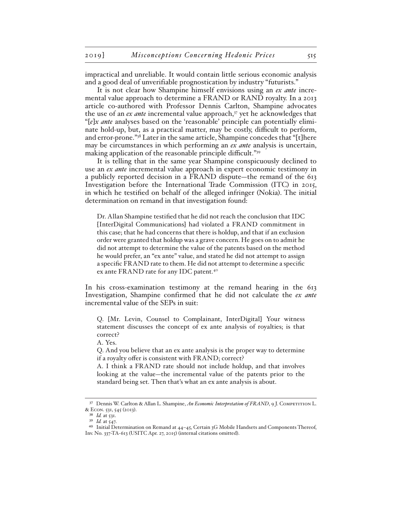impractical and unreliable. It would contain little serious economic analysis and a good deal of unverifiable prognostication by industry "futurists."

It is not clear how Shampine himself envisions using an *ex ante* incremental value approach to determine a FRAND or RAND royalty. In a 2013 article co-authored with Professor Dennis Carlton, Shampine advocates the use of an *ex ante* incremental value approach,<sup>37</sup> yet he acknowledges that "[*e*]*x ante* analyses based on the 'reasonable' principle can potentially eliminate hold-up, but, as a practical matter, may be costly, difficult to perform, and error-prone."38 Later in the same article, Shampine concedes that "[t]here may be circumstances in which performing an *ex ante* analysis is uncertain, making application of the reasonable principle difficult."39

It is telling that in the same year Shampine conspicuously declined to use an *ex ante* incremental value approach in expert economic testimony in a publicly reported decision in a FRAND dispute—the remand of the 613 Investigation before the International Trade Commission (ITC) in 2015, in which he testified on behalf of the alleged infringer (Nokia). The initial determination on remand in that investigation found:

Dr. Allan Shampine testified that he did not reach the conclusion that IDC [InterDigital Communications] had violated a FRAND commitment in this case; that he had concerns that there is holdup, and that if an exclusion order were granted that holdup was a grave concern. He goes on to admit he did not attempt to determine the value of the patents based on the method he would prefer, an "ex ante" value, and stated he did not attempt to assign a specific FRAND rate to them. He did not attempt to determine a specific ex ante FRAND rate for any IDC patent.40

In his cross-examination testimony at the remand hearing in the 613 Investigation, Shampine confirmed that he did not calculate the *ex ante* incremental value of the SEPs in suit:

Q. [Mr. Levin, Counsel to Complainant, InterDigital] Your witness statement discusses the concept of ex ante analysis of royalties; is that correct?

A. Yes.

Q. And you believe that an ex ante analysis is the proper way to determine if a royalty offer is consistent with FRAND; correct?

A. I think a FRAND rate should not include holdup, and that involves looking at the value—the incremental value of the patents prior to the standard being set. Then that's what an ex ante analysis is about.

<sup>37</sup> Dennis W. Carlton & Allan L. Shampine, *An Economic Interpretation of FRAND*, 9 J. COMPETITION L. & Econ. 531, 545 (2013).

<sup>38</sup> *Id.* at 531.

<sup>39</sup> *Id.* at 547.

<sup>40</sup> Initial Determination on Remand at 44–45, Certain 3G Mobile Handsets and Components Thereof, Inv. No. 337-TA-613 (USITC Apr. 27, 2015) (internal citations omitted).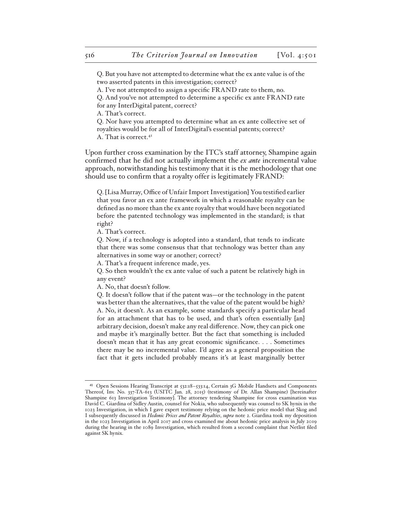Q. But you have not attempted to determine what the ex ante value is of the two asserted patents in this investigation; correct?

A. I've not attempted to assign a specific FRAND rate to them, no.

Q. And you've not attempted to determine a specific ex ante FRAND rate for any InterDigital patent, correct?

A. That's correct.

Q. Nor have you attempted to determine what an ex ante collective set of royalties would be for all of InterDigital's essential patents; correct? A. That is correct.41

Upon further cross examination by the ITC's staff attorney, Shampine again confirmed that he did not actually implement the *ex ante* incremental value approach, notwithstanding his testimony that it is the methodology that one should use to confirm that a royalty offer is legitimately FRAND:

Q. [Lisa Murray, Office of Unfair Import Investigation] You testified earlier that you favor an ex ante framework in which a reasonable royalty can be defined as no more than the ex ante royalty that would have been negotiated before the patented technology was implemented in the standard; is that right?

A. That's correct.

Q. Now, if a technology is adopted into a standard, that tends to indicate that there was some consensus that that technology was better than any alternatives in some way or another; correct?

A. That's a frequent inference made, yes.

Q. So then wouldn't the ex ante value of such a patent be relatively high in any event?

A. No, that doesn't follow.

Q. It doesn't follow that if the patent was—or the technology in the patent was better than the alternatives, that the value of the patent would be high? A. No, it doesn't. As an example, some standards specify a particular head for an attachment that has to be used, and that's often essentially [an] arbitrary decision, doesn't make any real difference. Now, they can pick one and maybe it's marginally better. But the fact that something is included doesn't mean that it has any great economic significance. . . . Sometimes there may be no incremental value. I'd agree as a general proposition the fact that it gets included probably means it's at least marginally better

<sup>41</sup> Open Sessions Hearing Transcript at 532:18–533:14, Certain 3G Mobile Handsets and Components Thereof, Inv. No. 337-TA-613 (USITC Jan. 28, 2015) (testimony of Dr. Allan Shampine) [hereinafter Shampine 613 Investigation Testimony]. The attorney tendering Shampine for cross examination was David C. Giardina of Sidley Austin, counsel for Nokia, who subsequently was counsel to SK hynix in the 1023 Investigation, in which I gave expert testimony relying on the hedonic price model that Skog and I subsequently discussed in *Hedonic Prices and Patent Royalties*, *supra* note 2. Giardina took my deposition in the 1023 Investigation in April 2017 and cross examined me about hedonic price analysis in July 2019 during the hearing in the 1089 Investigation, which resulted from a second complaint that Netlist filed against SK hynix.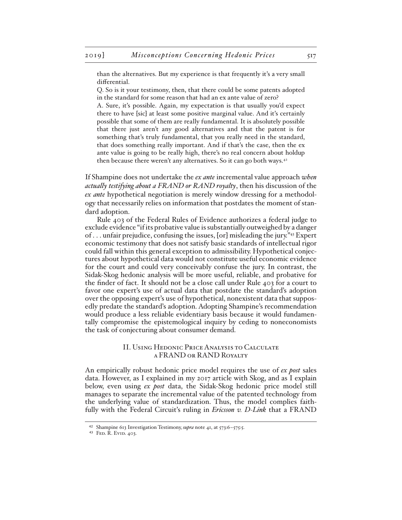than the alternatives. But my experience is that frequently it's a very small differential.

Q. So is it your testimony, then, that there could be some patents adopted in the standard for some reason that had an ex ante value of zero?

A. Sure, it's possible. Again, my expectation is that usually you'd expect there to have [sic] at least some positive marginal value. And it's certainly possible that some of them are really fundamental. It is absolutely possible that there just aren't any good alternatives and that the patent is for something that's truly fundamental, that you really need in the standard, that does something really important. And if that's the case, then the ex ante value is going to be really high, there's no real concern about holdup then because there weren't any alternatives. So it can go both ways.<sup>42</sup>

If Shampine does not undertake the *ex ante* incremental value approach *when actually testifying about a FRAND or RAND royalty*, then his discussion of the *ex ante* hypothetical negotiation is merely window dressing for a methodology that necessarily relies on information that postdates the moment of standard adoption.

Rule 403 of the Federal Rules of Evidence authorizes a federal judge to exclude evidence "if its probative value is substantially outweighed by a danger of . . . unfair prejudice, confusing the issues, [or] misleading the jury."43 Expert economic testimony that does not satisfy basic standards of intellectual rigor could fall within this general exception to admissibility. Hypothetical conjectures about hypothetical data would not constitute useful economic evidence for the court and could very conceivably confuse the jury. In contrast, the Sidak-Skog hedonic analysis will be more useful, reliable, and probative for the finder of fact. It should not be a close call under Rule 403 for a court to favor one expert's use of actual data that postdate the standard's adoption over the opposing expert's use of hypothetical, nonexistent data that supposedly predate the standard's adoption. Adopting Shampine's recommendation would produce a less reliable evidentiary basis because it would fundamentally compromise the epistemological inquiry by ceding to noneconomists the task of conjecturing about consumer demand.

# II. Using Hedonic Price Analysis to Calculate a FRAND or RAND Royalty

An empirically robust hedonic price model requires the use of *ex post* sales data. However, as I explained in my 2017 article with Skog, and as I explain below, even using *ex post* data, the Sidak-Skog hedonic price model still manages to separate the incremental value of the patented technology from the underlying value of standardization. Thus, the model complies faithfully with the Federal Circuit's ruling in *Ericsson v. D-Link* that a FRAND

<sup>42</sup> Shampine 613 Investigation Testimony, *supra* note 41, at 573:6–575:5.

<sup>&</sup>lt;sup>43</sup> FED. R. EVID. 403.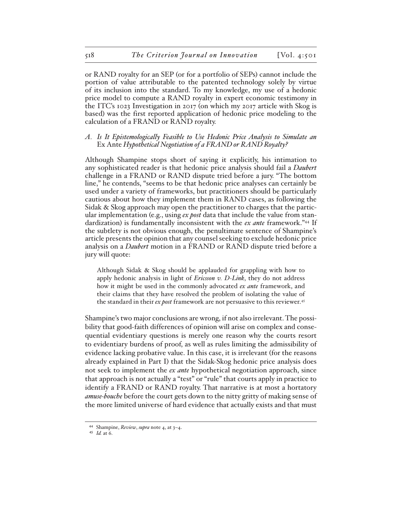or RAND royalty for an SEP (or for a portfolio of SEPs) cannot include the portion of value attributable to the patented technology solely by virtue of its inclusion into the standard. To my knowledge, my use of a hedonic price model to compute a RAND royalty in expert economic testimony in the ITC's 1023 Investigation in 2017 (on which my 2017 article with Skog is based) was the first reported application of hedonic price modeling to the calculation of a FRAND or RAND royalty.

# *A. Is It Epistemologically Feasible to Use Hedonic Price Analysis to Simulate an*  Ex Ante *Hypothetical Negotiation of a FRAND or RAND Royalty?*

Although Shampine stops short of saying it explicitly, his intimation to any sophisticated reader is that hedonic price analysis should fail a *Daubert* challenge in a FRAND or RAND dispute tried before a jury. "The bottom line," he contends, "seems to be that hedonic price analyses can certainly be used under a variety of frameworks, but practitioners should be particularly cautious about how they implement them in RAND cases, as following the Sidak & Skog approach may open the practitioner to charges that the particular implementation (e.g., using *ex post* data that include the value from standardization) is fundamentally inconsistent with the *ex ante* framework."44 If the subtlety is not obvious enough, the penultimate sentence of Shampine's article presents the opinion that any counsel seeking to exclude hedonic price analysis on a *Daubert* motion in a FRAND or RAND dispute tried before a jury will quote:

Although Sidak & Skog should be applauded for grappling with how to apply hedonic analysis in light of *Ericsson v. D-Link*, they do not address how it might be used in the commonly advocated *ex ante* framework, and their claims that they have resolved the problem of isolating the value of the standard in their *ex post* framework are not persuasive to this reviewer.45

Shampine's two major conclusions are wrong, if not also irrelevant. The possibility that good-faith differences of opinion will arise on complex and consequential evidentiary questions is merely one reason why the courts resort to evidentiary burdens of proof, as well as rules limiting the admissibility of evidence lacking probative value. In this case, it is irrelevant (for the reasons already explained in Part I) that the Sidak-Skog hedonic price analysis does not seek to implement the *ex ante* hypothetical negotiation approach, since that approach is not actually a "test" or "rule" that courts apply in practice to identify a FRAND or RAND royalty. That narrative is at most a hortatory *amuse-bouche* before the court gets down to the nitty gritty of making sense of the more limited universe of hard evidence that actually exists and that must

<sup>44</sup> Shampine, *Review*, *supra* note 4, at 3–4.

<sup>45</sup> *Id.* at 6.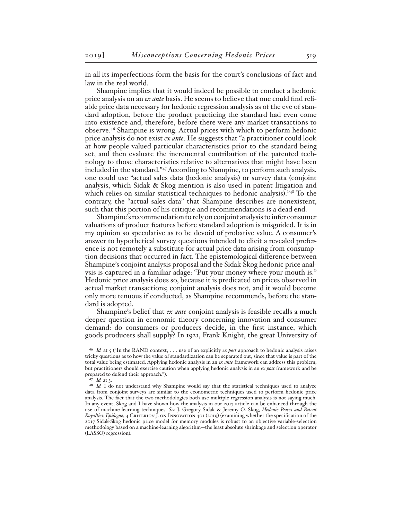in all its imperfections form the basis for the court's conclusions of fact and law in the real world.

Shampine implies that it would indeed be possible to conduct a hedonic price analysis on an *ex ante* basis. He seems to believe that one could find reliable price data necessary for hedonic regression analysis as of the eve of standard adoption, before the product practicing the standard had even come into existence and, therefore, before there were any market transactions to observe.46 Shampine is wrong. Actual prices with which to perform hedonic price analysis do not exist *ex ante*. He suggests that "a practitioner could look at how people valued particular characteristics prior to the standard being set, and then evaluate the incremental contribution of the patented technology to those characteristics relative to alternatives that might have been included in the standard."47 According to Shampine, to perform such analysis, one could use "actual sales data (hedonic analysis) or survey data (conjoint analysis, which Sidak & Skog mention is also used in patent litigation and which relies on similar statistical techniques to hedonic analysis).<sup>"48</sup> To the contrary, the "actual sales data" that Shampine describes are nonexistent, such that this portion of his critique and recommendations is a dead end.

Shampine's recommendation to rely on conjoint analysis to infer consumer valuations of product features before standard adoption is misguided. It is in my opinion so speculative as to be devoid of probative value. A consumer's answer to hypothetical survey questions intended to elicit a revealed preference is not remotely a substitute for actual price data arising from consumption decisions that occurred in fact. The epistemological difference between Shampine's conjoint analysis proposal and the Sidak-Skog hedonic price analysis is captured in a familiar adage: "Put your money where your mouth is." Hedonic price analysis does so, because it is predicated on prices observed in actual market transactions; conjoint analysis does not, and it would become only more tenuous if conducted, as Shampine recommends, before the standard is adopted.

Shampine's belief that *ex ante* conjoint analysis is feasible recalls a much deeper question in economic theory concerning innovation and consumer demand: do consumers or producers decide, in the first instance, which goods producers shall supply? In 1921, Frank Knight, the great University of

<sup>46</sup> *Id.* at 5 ("In the RAND context, . . . use of an explicitly *ex post* approach to hedonic analysis raises tricky questions as to how the value of standardization can be separated out, since that value is part of the total value being estimated. Applying hedonic analysis in an *ex ante* framework can address this problem, but practitioners should exercise caution when applying hedonic analysis in an *ex post* framework and be prepared to defend their approach.").

<sup>47</sup> *Id.* at 3.

<sup>48</sup> *Id.* I do not understand why Shampine would say that the statistical techniques used to analyze data from conjoint surveys are similar to the econometric techniques used to perform hedonic price analysis. The fact that the two methodologies both use multiple regression analysis is not saying much. In any event, Skog and I have shown how the analysis in our 2017 article can be enhanced through the use of machine-learning techniques. *See* J. Gregory Sidak & Jeremy O. Skog, *Hedonic Prices and Patent Royalties: Epilogue*, 4 Criterion J. on Innovation 401 (2019) (examining whether the specification of the 2017 Sidak-Skog hedonic price model for memory modules is robust to an objective variable-selection methodology based on a machine-learning algorithm—the least absolute shrinkage and selection operator (LASSO) regression).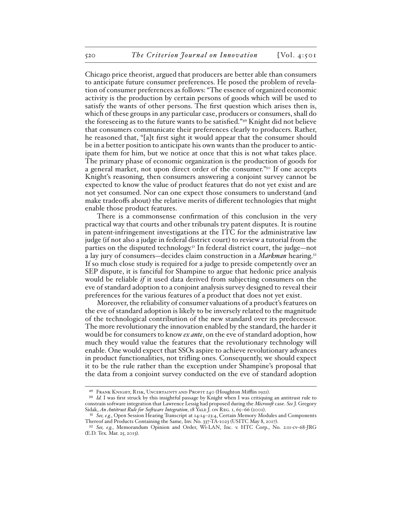Chicago price theorist, argued that producers are better able than consumers to anticipate future consumer preferences. He posed the problem of revelation of consumer preferences as follows: "The essence of organized economic activity is the production by certain persons of goods which will be used to satisfy the wants of other persons. The first question which arises then is, which of these groups in any particular case, producers or consumers, shall do the foreseeing as to the future wants to be satisfied."49 Knight did not believe that consumers communicate their preferences clearly to producers. Rather, he reasoned that, "[a]t first sight it would appear that the consumer should be in a better position to anticipate his own wants than the producer to anticipate them for him, but we notice at once that this is not what takes place. The primary phase of economic organization is the production of goods for a general market, not upon direct order of the consumer."50 If one accepts Knight's reasoning, then consumers answering a conjoint survey cannot be expected to know the value of product features that do not yet exist and are not yet consumed. Nor can one expect those consumers to understand (and make tradeoffs about) the relative merits of different technologies that might enable those product features.

There is a commonsense confirmation of this conclusion in the very practical way that courts and other tribunals try patent disputes. It is routine in patent-infringement investigations at the ITC for the administrative law judge (if not also a judge in federal district court) to review a tutorial from the parties on the disputed technology.<sup>51</sup> In federal district court, the judge—not a lay jury of consumers—decides claim construction in a *Markman* hearing.<sup>52</sup> If so much close study is required for a judge to preside competently over an SEP dispute, it is fanciful for Shampine to argue that hedonic price analysis would be reliable *if* it used data derived from subjecting consumers on the eve of standard adoption to a conjoint analysis survey designed to reveal their preferences for the various features of a product that does not yet exist.

Moreover, the reliability of consumer valuations of a product's features on the eve of standard adoption is likely to be inversely related to the magnitude of the technological contribution of the new standard over its predecessor. The more revolutionary the innovation enabled by the standard, the harder it would be for consumers to know *ex ante*, on the eve of standard adoption, how much they would value the features that the revolutionary technology will enable. One would expect that SSOs aspire to achieve revolutionary advances in product functionalities, not trifling ones. Consequently, we should expect it to be the rule rather than the exception under Shampine's proposal that the data from a conjoint survey conducted on the eve of standard adoption

<sup>&</sup>lt;sup>49</sup> FRANK KNIGHT, RISK, UNCERTAINTY AND PROFIT 240 (Houghton Mifflin 1921).

<sup>50</sup> *Id.* I was first struck by this insightful passage by Knight when I was critiquing an antitrust rule to constrain software integration that Lawrence Lessig had proposed during the *Microsoft* case. *See* J. Gregory Sidak, *An Antitrust Rule for Software Integration*, 18 YALE J. ON REG. 1, 65-66 (2001).

<sup>51</sup> *See, e.g.*, Open Session Hearing Transcript at 14:14–23:4, Certain Memory Modules and Components Thereof and Products Containing the Same, Inv. No. 337-TA-1023 (USITC May 8, 2017).

<sup>52</sup> *See, e.g.*, Memorandum Opinion and Order, Wi-LAN, Inc. v. HTC Corp., No. 2:11-cv-68-JRG (E.D. Tex. Mar. 25, 2013).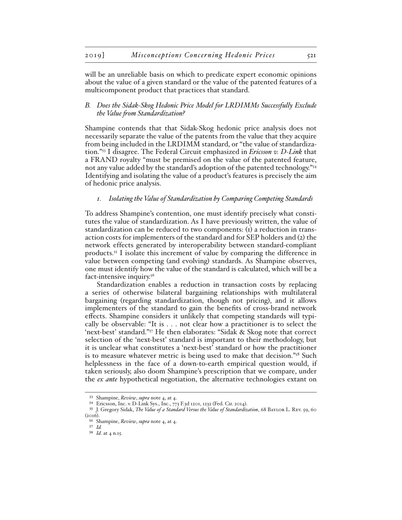will be an unreliable basis on which to predicate expert economic opinions about the value of a given standard or the value of the patented features of a multicomponent product that practices that standard.

# *B. Does the Sidak-Skog Hedonic Price Model for LRDIMMs Successfully Exclude the Value from Standardization?*

Shampine contends that that Sidak-Skog hedonic price analysis does not necessarily separate the value of the patents from the value that they acquire from being included in the LRDIMM standard, or "the value of standardization."53 I disagree. The Federal Circuit emphasized in *Ericsson v. D-Link* that a FRAND royalty "must be premised on the value of the patented feature, not any value added by the standard's adoption of the patented technology."<sup>54</sup> Identifying and isolating the value of a product's features is precisely the aim of hedonic price analysis.

#### *1. Isolating the Value of Standardization by Comparing Competing Standards*

To address Shampine's contention, one must identify precisely what constitutes the value of standardization. As I have previously written, the value of standardization can be reduced to two components: (1) a reduction in transaction costs for implementers of the standard and for SEP holders and (2) the network effects generated by interoperability between standard-compliant products.<sup>55</sup> I isolate this increment of value by comparing the difference in value between competing (and evolving) standards. As Shampine observes, one must identify how the value of the standard is calculated, which will be a fact-intensive inquiry.<sup>56</sup>

Standardization enables a reduction in transaction costs by replacing a series of otherwise bilateral bargaining relationships with multilateral bargaining (regarding standardization, though not pricing), and it allows implementers of the standard to gain the benefits of cross-brand network effects. Shampine considers it unlikely that competing standards will typically be observable: "It is . . . not clear how a practitioner is to select the 'next-best' standard."57 He then elaborates: "Sidak & Skog note that correct selection of the 'next-best' standard is important to their methodology, but it is unclear what constitutes a 'next-best' standard or how the practitioner is to measure whatever metric is being used to make that decision."58 Such helplessness in the face of a down-to-earth empirical question would, if taken seriously, also doom Shampine's prescription that we compare, under the *ex ante* hypothetical negotiation, the alternative technologies extant on

<sup>53</sup> Shampine, *Review*, *supra* note 4, at 4.

<sup>54</sup> Ericsson, Inc. v. D-Link Sys., Inc., 773 F.3d 1201, 1232 (Fed. Cir. 2014).

<sup>55</sup> J. Gregory Sidak, *The Value of a Standard Versus the Value of Standardization*, 68 Baylor L. Rev. 59, 60 (2016).

<sup>56</sup> Shampine, *Review*, *supra* note 4, at 4.

<sup>57</sup> *Id.*

<sup>58</sup> *Id*. at 4 n.15.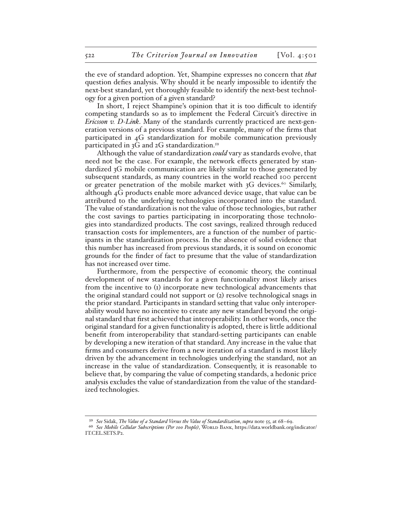the eve of standard adoption. Yet, Shampine expresses no concern that *that* question defies analysis. Why should it be nearly impossible to identify the next-best standard, yet thoroughly feasible to identify the next-best technology for a given portion of a given standard?

In short, I reject Shampine's opinion that it is too difficult to identify competing standards so as to implement the Federal Circuit's directive in *Ericsson v. D-Link*. Many of the standards currently practiced are next-generation versions of a previous standard. For example, many of the firms that participated in 4G standardization for mobile communication previously participated in 3G and 2G standardization.<sup>59</sup>

Although the value of standardization *could* vary as standards evolve, that need not be the case. For example, the network effects generated by standardized 3G mobile communication are likely similar to those generated by subsequent standards, as many countries in the world reached 100 percent or greater penetration of the mobile market with  $3G$  devices.<sup>60</sup> Similarly, although 4G products enable more advanced device usage, that value can be attributed to the underlying technologies incorporated into the standard. The value of standardization is not the value of those technologies, but rather the cost savings to parties participating in incorporating those technologies into standardized products. The cost savings, realized through reduced transaction costs for implementers, are a function of the number of participants in the standardization process. In the absence of solid evidence that this number has increased from previous standards, it is sound on economic grounds for the finder of fact to presume that the value of standardization has not increased over time.

Furthermore, from the perspective of economic theory, the continual development of new standards for a given functionality most likely arises from the incentive to (1) incorporate new technological advancements that the original standard could not support or (2) resolve technological snags in the prior standard. Participants in standard setting that value only interoperability would have no incentive to create any new standard beyond the original standard that first achieved that interoperability. In other words, once the original standard for a given functionality is adopted, there is little additional benefit from interoperability that standard-setting participants can enable by developing a new iteration of that standard. Any increase in the value that firms and consumers derive from a new iteration of a standard is most likely driven by the advancement in technologies underlying the standard, not an increase in the value of standardization. Consequently, it is reasonable to believe that, by comparing the value of competing standards, a hedonic price analysis excludes the value of standardization from the value of the standardized technologies.

<sup>59</sup> *See* Sidak, *The Value of a Standard Versus the Value of Standardization*, *supra* note 55, at 68–69.

<sup>60</sup> See Mobile Cellular Subscriptions (Per 100 People), WORLD BANK, https://data.worldbank.org/indicator/ IT.CEL.SETS.P2.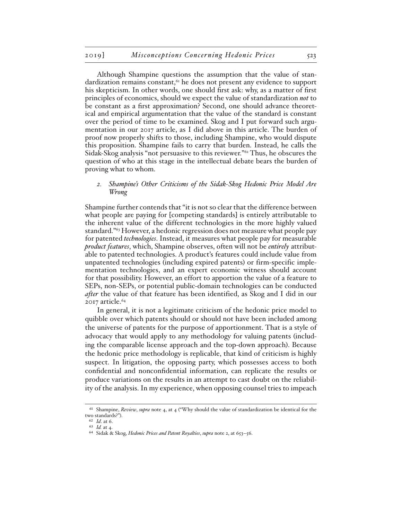Although Shampine questions the assumption that the value of standardization remains constant,<sup>61</sup> he does not present any evidence to support his skepticism. In other words, one should first ask: why, as a matter of first principles of economics, should we expect the value of standardization *not* to be constant as a first approximation? Second, one should advance theoretical and empirical argumentation that the value of the standard is constant over the period of time to be examined. Skog and I put forward such argumentation in our 2017 article, as I did above in this article. The burden of proof now properly shifts to those, including Shampine, who would dispute this proposition. Shampine fails to carry that burden. Instead, he calls the Sidak-Skog analysis "not persuasive to this reviewer."62 Thus, he obscures the question of who at this stage in the intellectual debate bears the burden of proving what to whom.

### *2. Shampine's Other Criticisms of the Sidak-Skog Hedonic Price Model Are Wrong*

Shampine further contends that "it is not so clear that the difference between what people are paying for [competing standards] is entirely attributable to the inherent value of the different technologies in the more highly valued standard."63 However, a hedonic regression does not measure what people pay for patented *technologies*. Instead, it measures what people pay for measurable *product features*, which, Shampine observes, often will not be *entirely* attributable to patented technologies. A product's features could include value from unpatented technologies (including expired patents) or firm-specific implementation technologies, and an expert economic witness should account for that possibility. However, an effort to apportion the value of a feature to SEPs, non-SEPs, or potential public-domain technologies can be conducted *after* the value of that feature has been identified, as Skog and I did in our  $2017$  article. $64$ 

In general, it is not a legitimate criticism of the hedonic price model to quibble over which patents should or should not have been included among the universe of patents for the purpose of apportionment. That is a style of advocacy that would apply to any methodology for valuing patents (including the comparable license approach and the top-down approach). Because the hedonic price methodology is replicable, that kind of criticism is highly suspect. In litigation, the opposing party, which possesses access to both confidential and nonconfidential information, can replicate the results or produce variations on the results in an attempt to cast doubt on the reliability of the analysis. In my experience, when opposing counsel tries to impeach

<sup>61</sup> Shampine, *Review*, *supra* note 4, at 4 ("Why should the value of standardization be identical for the two standards?").

<sup>62</sup> *Id*. at 6.

<sup>63</sup> *Id.* at 4.

<sup>64</sup> Sidak & Skog, *Hedonic Prices and Patent Royalties*, *supra* note 2, at 653–56.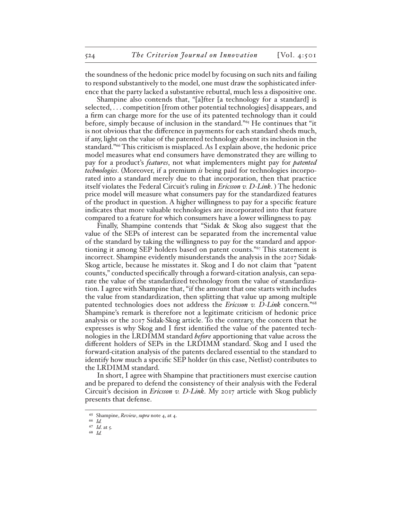the soundness of the hedonic price model by focusing on such nits and failing to respond substantively to the model, one must draw the sophisticated inference that the party lacked a substantive rebuttal, much less a dispositive one.

Shampine also contends that, "[a]fter [a technology for a standard] is selected, . . . competition [from other potential technologies] disappears, and a firm can charge more for the use of its patented technology than it could before, simply because of inclusion in the standard."65 He continues that "it is not obvious that the difference in payments for each standard sheds much, if any, light on the value of the patented technology absent its inclusion in the standard."66 This criticism is misplaced. As I explain above, the hedonic price model measures what end consumers have demonstrated they are willing to pay for a product's *features*, not what implementers might pay for *patented technologies*. (Moreover, if a premium *is* being paid for technologies incorporated into a standard merely due to that incorporation, then that practice itself violates the Federal Circuit's ruling in *Ericsson v. D-Link*. ) The hedonic price model will measure what consumers pay for the standardized features of the product in question. A higher willingness to pay for a specific feature indicates that more valuable technologies are incorporated into that feature compared to a feature for which consumers have a lower willingness to pay.

Finally, Shampine contends that "Sidak & Skog also suggest that the value of the SEPs of interest can be separated from the incremental value of the standard by taking the willingness to pay for the standard and apportioning it among SEP holders based on patent counts."67 This statement is incorrect. Shampine evidently misunderstands the analysis in the 2017 Sidak-Skog article, because he misstates it. Skog and I do not claim that "patent counts," conducted specifically through a forward-citation analysis, can separate the value of the standardized technology from the value of standardization. I agree with Shampine that, "if the amount that one starts with includes the value from standardization, then splitting that value up among multiple patented technologies does not address the *Ericsson v. D-Link* concern."68 Shampine's remark is therefore not a legitimate criticism of hedonic price analysis or the 2017 Sidak-Skog article. To the contrary, the concern that he expresses is why Skog and I first identified the value of the patented technologies in the LRDIMM standard *before* apportioning that value across the different holders of SEPs in the LRDIMM standard. Skog and I used the forward-citation analysis of the patents declared essential to the standard to identify how much a specific SEP holder (in this case, Netlist) contributes to the LRDIMM standard.

In short, I agree with Shampine that practitioners must exercise caution and be prepared to defend the consistency of their analysis with the Federal Circuit's decision in *Ericsson v. D-Link*. My 2017 article with Skog publicly presents that defense.

<sup>65</sup> Shampine, *Review*, *supra* note 4, at 4.

<sup>66</sup> *Id.* 67 *Id*. at 5.

<sup>68</sup> *Id.*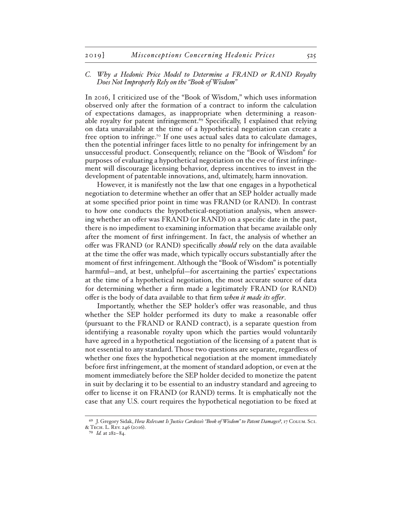### *C. Why a Hedonic Price Model to Determine a FRAND or RAND Royalty Does Not Improperly Rely on the "Book of Wisdom"*

In 2016, I criticized use of the "Book of Wisdom," which uses information observed only after the formation of a contract to inform the calculation of expectations damages, as inappropriate when determining a reasonable royalty for patent infringement.<sup>69</sup> Specifically, I explained that relying on data unavailable at the time of a hypothetical negotiation can create a free option to infringe.<sup>70</sup> If one uses actual sales data to calculate damages, then the potential infringer faces little to no penalty for infringement by an unsuccessful product. Consequently, reliance on the "Book of Wisdom" for purposes of evaluating a hypothetical negotiation on the eve of first infringement will discourage licensing behavior, depress incentives to invest in the development of patentable innovations, and, ultimately, harm innovation.

However, it is manifestly not the law that one engages in a hypothetical negotiation to determine whether an offer that an SEP holder actually made at some specified prior point in time was FRAND (or RAND). In contrast to how one conducts the hypothetical-negotiation analysis, when answering whether an offer was FRAND (or RAND) on a specific date in the past, there is no impediment to examining information that became available only after the moment of first infringement. In fact, the analysis of whether an offer was FRAND (or RAND) specifically *should* rely on the data available at the time the offer was made, which typically occurs substantially after the moment of first infringement. Although the "Book of Wisdom" is potentially harmful—and, at best, unhelpful—for ascertaining the parties' expectations at the time of a hypothetical negotiation, the most accurate source of data for determining whether a firm made a legitimately FRAND (or RAND) offer is the body of data available to that firm *when it made its offer*.

Importantly, whether the SEP holder's offer was reasonable, and thus whether the SEP holder performed its duty to make a reasonable offer (pursuant to the FRAND or RAND contract), is a separate question from identifying a reasonable royalty upon which the parties would voluntarily have agreed in a hypothetical negotiation of the licensing of a patent that is not essential to any standard. Those two questions are separate, regardless of whether one fixes the hypothetical negotiation at the moment immediately before first infringement, at the moment of standard adoption, or even at the moment immediately before the SEP holder decided to monetize the patent in suit by declaring it to be essential to an industry standard and agreeing to offer to license it on FRAND (or RAND) terms. It is emphatically not the case that any U.S. court requires the hypothetical negotiation to be fixed at

<sup>69</sup> J. Gregory Sidak, *How Relevant Is Justice Cardozo's "Book of Wisdom" to Patent Damages?*, 17 Colum. Sci. & Tech. L. Rev. 246 (2016).

<sup>70</sup> *Id.* at 282–84.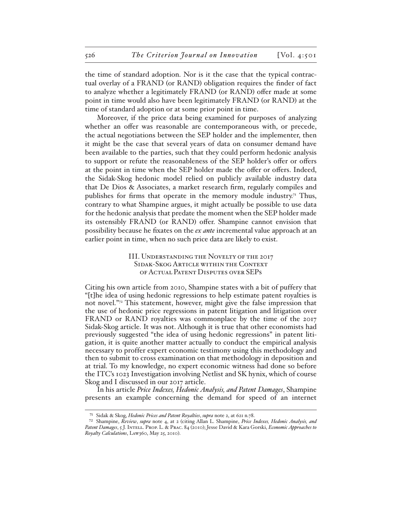the time of standard adoption. Nor is it the case that the typical contractual overlay of a FRAND (or RAND) obligation requires the finder of fact to analyze whether a legitimately FRAND (or RAND) offer made at some point in time would also have been legitimately FRAND (or RAND) at the time of standard adoption or at some prior point in time.

Moreover, if the price data being examined for purposes of analyzing whether an offer was reasonable are contemporaneous with, or precede, the actual negotiations between the SEP holder and the implementer, then it might be the case that several years of data on consumer demand have been available to the parties, such that they could perform hedonic analysis to support or refute the reasonableness of the SEP holder's offer or offers at the point in time when the SEP holder made the offer or offers. Indeed, the Sidak-Skog hedonic model relied on publicly available industry data that De Dios & Associates, a market research firm, regularly compiles and publishes for firms that operate in the memory module industry.<sup>71</sup> Thus, contrary to what Shampine argues, it might actually be possible to use data for the hedonic analysis that predate the moment when the SEP holder made its ostensibly FRAND (or RAND) offer. Shampine cannot envision that possibility because he fixates on the *ex ante* incremental value approach at an earlier point in time, when no such price data are likely to exist.

# III. Understanding the Novelty of the 2017 Sidak-Skog Article within the Context of Actual Patent Disputes over SEPs

Citing his own article from 2010, Shampine states with a bit of puffery that "[t]he idea of using hedonic regressions to help estimate patent royalties is not novel."72 This statement, however, might give the false impression that the use of hedonic price regressions in patent litigation and litigation over FRAND or RAND royalties was commonplace by the time of the 2017 Sidak-Skog article. It was not. Although it is true that other economists had previously suggested "the idea of using hedonic regressions" in patent litigation, it is quite another matter actually to conduct the empirical analysis necessary to proffer expert economic testimony using this methodology and then to submit to cross examination on that methodology in deposition and at trial. To my knowledge, no expert economic witness had done so before the ITC's 1023 Investigation involving Netlist and SK hynix, which of course Skog and I discussed in our 2017 article.

In his article *Price Indexes, Hedonic Analysis, and Patent Damages*, Shampine presents an example concerning the demand for speed of an internet

<sup>71</sup> Sidak & Skog, *Hedonic Prices and Patent Royalties*, *supra* note 2, at 621 n.78.

<sup>72</sup> Shampine, *Review*, *supra* note 4, at 2 (citing Allan L. Shampine, *Price Indexes, Hedonic Analysis, and Patent Damages*, 5 J. Intell. Prop. L. & Prac. 84 (2010); Jesse David & Kara Gorski, *Economic Approaches to Royalty Calculations*, Law360, May 25, 2010).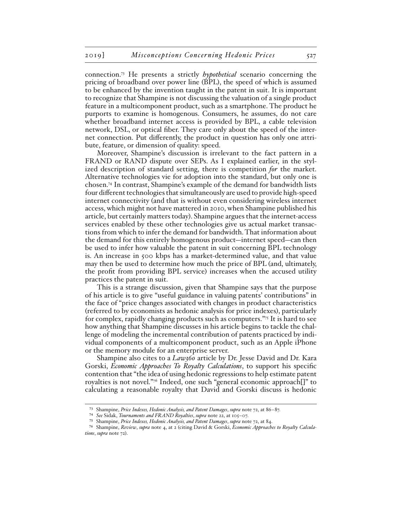connection.73 He presents a strictly *hypothetical* scenario concerning the pricing of broadband over power line (BPL), the speed of which is assumed to be enhanced by the invention taught in the patent in suit. It is important to recognize that Shampine is not discussing the valuation of a single product feature in a multicomponent product, such as a smartphone. The product he purports to examine is homogenous. Consumers, he assumes, do not care whether broadband internet access is provided by BPL, a cable television network, DSL, or optical fiber. They care only about the speed of the internet connection. Put differently, the product in question has only one attribute, feature, or dimension of quality: speed.

Moreover, Shampine's discussion is irrelevant to the fact pattern in a FRAND or RAND dispute over SEPs. As I explained earlier, in the stylized description of standard setting, there is competition *for* the market. Alternative technologies vie for adoption into the standard, but only one is chosen.74 In contrast, Shampine's example of the demand for bandwidth lists four different technologies that simultaneously are used to provide high-speed internet connectivity (and that is without even considering wireless internet access, which might not have mattered in 2010, when Shampine published his article, but certainly matters today). Shampine argues that the internet-access services enabled by these other technologies give us actual market transactions from which to infer the demand for bandwidth. That information about the demand for this entirely homogenous product—internet speed—can then be used to infer how valuable the patent in suit concerning BPL technology is. An increase in 500 kbps has a market-determined value, and that value may then be used to determine how much the price of BPL (and, ultimately, the profit from providing BPL service) increases when the accused utility practices the patent in suit.

This is a strange discussion, given that Shampine says that the purpose of his article is to give "useful guidance in valuing patents' contributions" in the face of "price changes associated with changes in product characteristics (referred to by economists as hedonic analysis for price indexes), particularly for complex, rapidly changing products such as computers."75 It is hard to see how anything that Shampine discusses in his article begins to tackle the challenge of modeling the incremental contribution of patents practiced by individual components of a multicomponent product, such as an Apple iPhone or the memory module for an enterprise server.

Shampine also cites to a *Law360* article by Dr. Jesse David and Dr. Kara Gorski, *Economic Approaches To Royalty Calculations*, to support his specific contention that "the idea of using hedonic regressions to help estimate patent royalties is not novel."76 Indeed, one such "general economic approach[]" to calculating a reasonable royalty that David and Gorski discuss is hedonic

<sup>73</sup> Shampine, *Price Indexes, Hedonic Analysis, and Patent Damages*, *supra* note 72, at 86–87.

<sup>74</sup> *See* Sidak, *Tournaments and FRAND Royalties*, *supra* note 22, at 105–07.

<sup>75</sup> Shampine, *Price Indexes, Hedonic Analysis, and Patent Damages*, *supra* note 72, at 84.

<sup>76</sup> Shampine, *Review*, *supra* note 4, at 2 (citing David & Gorski, *Economic Approaches to Royalty Calculations*, *supra* note 72).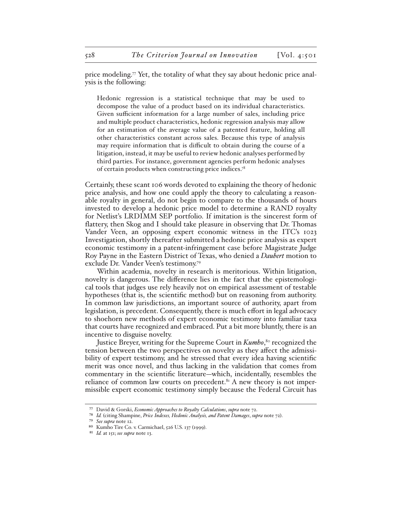price modeling.<sup> $7\text{ Yet}$ </sup>, the totality of what they say about hedonic price analysis is the following:

Hedonic regression is a statistical technique that may be used to decompose the value of a product based on its individual characteristics. Given sufficient information for a large number of sales, including price and multiple product characteristics, hedonic regression analysis may allow for an estimation of the average value of a patented feature, holding all other characteristics constant across sales. Because this type of analysis may require information that is difficult to obtain during the course of a litigation, instead, it may be useful to review hedonic analyses performed by third parties. For instance, government agencies perform hedonic analyses of certain products when constructing price indices.78

Certainly, these scant 106 words devoted to explaining the theory of hedonic price analysis, and how one could apply the theory to calculating a reasonable royalty in general, do not begin to compare to the thousands of hours invested to develop a hedonic price model to determine a RAND royalty for Netlist's LRDIMM SEP portfolio. If imitation is the sincerest form of flattery, then Skog and I should take pleasure in observing that Dr. Thomas Vander Veen, an opposing expert economic witness in the ITC's 1023 Investigation, shortly thereafter submitted a hedonic price analysis as expert economic testimony in a patent-infringement case before Magistrate Judge Roy Payne in the Eastern District of Texas, who denied a *Daubert* motion to exclude Dr. Vander Veen's testimony.79

Within academia, novelty in research is meritorious. Within litigation, novelty is dangerous. The difference lies in the fact that the epistemological tools that judges use rely heavily not on empirical assessment of testable hypotheses (that is, the scientific method) but on reasoning from authority. In common law jurisdictions, an important source of authority, apart from legislation, is precedent. Consequently, there is much effort in legal advocacy to shoehorn new methods of expert economic testimony into familiar taxa that courts have recognized and embraced. Put a bit more bluntly, there is an incentive to disguise novelty.

Justice Breyer, writing for the Supreme Court in *Kumho*,<sup>80</sup> recognized the tension between the two perspectives on novelty as they affect the admissibility of expert testimony, and he stressed that every idea having scientific merit was once novel, and thus lacking in the validation that comes from commentary in the scientific literature—which, incidentally, resembles the reliance of common law courts on precedent. $8<sup>i</sup>$  A new theory is not impermissible expert economic testimony simply because the Federal Circuit has

<sup>77</sup> David & Gorski, *Economic Approaches to Royalty Calculations*, *supra* note 72.

<sup>78</sup> *Id.* (citing Shampine, *Price Indexes, Hedonic Analysis, and Patent Damages*, *supra* note 72).

<sup>79</sup> *See supra* note 12.

<sup>80</sup> Kumho Tire Co. v. Carmichael, 526 U.S. 137 (1999).

<sup>81</sup> *Id.* at 151; *see supra* note 13.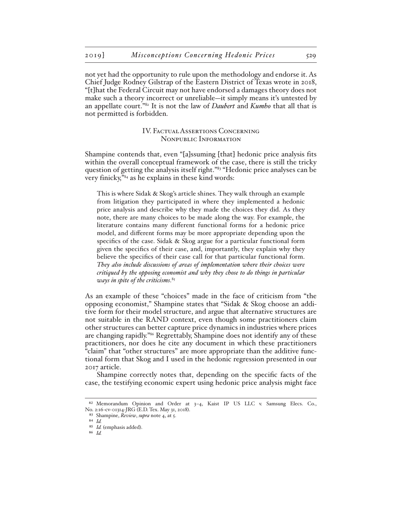not yet had the opportunity to rule upon the methodology and endorse it. As Chief Judge Rodney Gilstrap of the Eastern District of Texas wrote in 2018, "[t]hat the Federal Circuit may not have endorsed a damages theory does not make such a theory incorrect or unreliable—it simply means it's untested by an appellate court."82 It is not the law of *Daubert* and *Kumho* that all that is not permitted is forbidden.

> IV. Factual Assertions Concerning Nonpublic Information

Shampine contends that, even "[a]ssuming [that] hedonic price analysis fits within the overall conceptual framework of the case, there is still the tricky question of getting the analysis itself right."83 "Hedonic price analyses can be very finicky,"84 as he explains in these kind words:

This is where Sidak & Skog's article shines. They walk through an example from litigation they participated in where they implemented a hedonic price analysis and describe why they made the choices they did. As they note, there are many choices to be made along the way. For example, the literature contains many different functional forms for a hedonic price model, and different forms may be more appropriate depending upon the specifics of the case. Sidak & Skog argue for a particular functional form given the specifics of their case, and, importantly, they explain why they believe the specifics of their case call for that particular functional form. *They also include discussions of areas of implementation where their choices were critiqued by the opposing economist and why they chose to do things in particular ways in spite of the criticisms*. 85

As an example of these "choices" made in the face of criticism from "the opposing economist," Shampine states that "Sidak & Skog choose an additive form for their model structure, and argue that alternative structures are not suitable in the RAND context, even though some practitioners claim other structures can better capture price dynamics in industries where prices are changing rapidly."86 Regrettably, Shampine does not identify any of these practitioners, nor does he cite any document in which these practitioners "claim" that "other structures" are more appropriate than the additive functional form that Skog and I used in the hedonic regression presented in our 2017 article.

Shampine correctly notes that, depending on the specific facts of the case, the testifying economic expert using hedonic price analysis might face

<sup>82</sup> Memorandum Opinion and Order at 3-4, Kaist IP US LLC v. Samsung Elecs. Co., No. 2:16-cv-01314-JRG (E.D. Tex. May 31, 2018).

<sup>83</sup> Shampine, *Review*, *supra* note 4, at 5.

<sup>84</sup> *Id.*

<sup>85</sup> *Id.* (emphasis added).

<sup>86</sup> *Id.*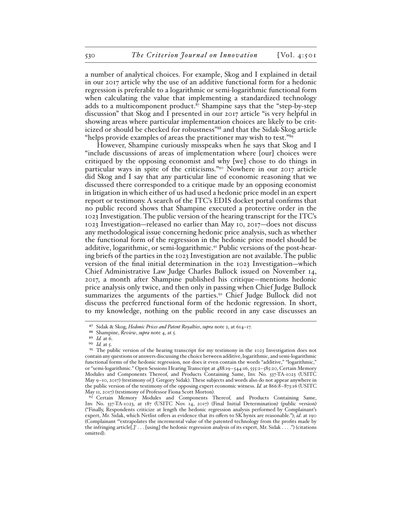a number of analytical choices. For example, Skog and I explained in detail in our 2017 article why the use of an additive functional form for a hedonic regression is preferable to a logarithmic or semi-logarithmic functional form when calculating the value that implementing a standardized technology adds to a multicomponent product.<sup>87</sup> Shampine says that the "step-by-step" discussion" that Skog and I presented in our 2017 article "is very helpful in showing areas where particular implementation choices are likely to be criticized or should be checked for robustness"88 and that the Sidak-Skog article "helps provide examples of areas the practitioner may wish to test."89

However, Shampine curiously misspeaks when he says that Skog and I "include discussions of areas of implementation where [our] choices were critiqued by the opposing economist and why [we] chose to do things in particular ways in spite of the criticisms."90 Nowhere in our 2017 article did Skog and I say that any particular line of economic reasoning that we discussed there corresponded to a critique made by an opposing economist in litigation in which either of us had used a hedonic price model in an expert report or testimony. A search of the ITC's EDIS docket portal confirms that no public record shows that Shampine executed a protective order in the 1023 Investigation. The public version of the hearing transcript for the ITC's 1023 Investigation—released no earlier than May 10, 2017—does not discuss any methodological issue concerning hedonic price analysis, such as whether the functional form of the regression in the hedonic price model should be additive, logarithmic, or semi-logarithmic.<sup>91</sup> Public versions of the post-hearing briefs of the parties in the 1023 Investigation are not available. The public version of the final initial determination in the 1023 Investigation—which Chief Administrative Law Judge Charles Bullock issued on November 14, 2017, a month after Shampine published his critique—mentions hedonic price analysis only twice, and then only in passing when Chief Judge Bullock summarizes the arguments of the parties.<sup>92</sup> Chief Judge Bullock did not discuss the preferred functional form of the hedonic regression. In short, to my knowledge, nothing on the public record in any case discusses an

<sup>87</sup> Sidak & Skog, *Hedonic Prices and Patent Royalties*, *supra* note 2, at 614–17.

<sup>88</sup> Shampine, *Review*, *supra* note 4, at 5.

<sup>89</sup> *Id.* at 6.

<sup>90</sup> *Id.* at 5.

<sup>91</sup> The public version of the hearing transcript for my testimony in the 1023 Investigation does not contain any questions or answers discussing the choice between additive, logarithmic, and semi-logarithmic functional forms of the hedonic regression, nor does it even contain the words "additive," "logarithmic," or "semi-logarithmic." Open Sessions Hearing Transcript at 488:19–544:16, 555:2–585:20, Certain Memory Modules and Components Thereof, and Products Containing Same, Inv. No. 337-TA-1023 (USITC May 9–10, 2017) (testimony of J. Gregory Sidak). These subjects and words also do not appear anywhere in the public version of the testimony of the opposing expert economic witness. *Id.* at 866:8–873:16 (USITC May 11, 2017) (testimony of Professor Fiona Scott Morton).

<sup>92</sup> Certain Memory Modules and Components Thereof, and Products Containing Same, Inv. No. 337-TA-1023, at 187 (USITC Nov. 14, 2017) (Final Initial Determination) (public version) ("Finally, Respondents criticize at length the hedonic regression analysis performed by Complainant's expert, Mr. Sidak, which Netlist offers as evidence that its offers to SK hynix are reasonable."); *id*. at 190 (Complainant "'extrapolates the incremental value of the patented technology from the profits made by the infringing article[,]'  $\dots$  [using] the hedonic regression analysis of its expert, Mr. Sidak  $\dots$ .") (citations omitted).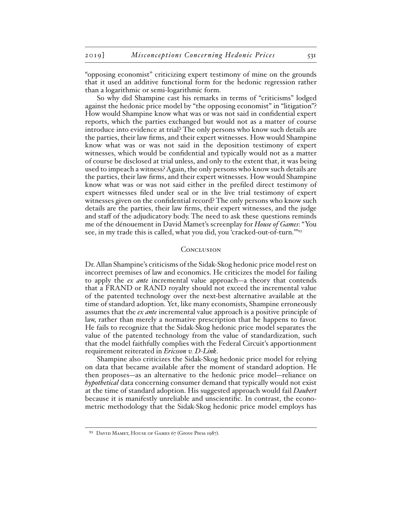"opposing economist" criticizing expert testimony of mine on the grounds that it used an additive functional form for the hedonic regression rather than a logarithmic or semi-logarithmic form.

So why did Shampine cast his remarks in terms of "criticisms" lodged against the hedonic price model by "the opposing economist" in "litigation"? How would Shampine know what was or was not said in confidential expert reports, which the parties exchanged but would not as a matter of course introduce into evidence at trial? The only persons who know such details are the parties, their law firms, and their expert witnesses. How would Shampine know what was or was not said in the deposition testimony of expert witnesses, which would be confidential and typically would not as a matter of course be disclosed at trial unless, and only to the extent that, it was being used to impeach a witness? Again, the only persons who know such details are the parties, their law firms, and their expert witnesses. How would Shampine know what was or was not said either in the prefiled direct testimony of expert witnesses filed under seal or in the live trial testimony of expert witnesses given on the confidential record? The only persons who know such details are the parties, their law firms, their expert witnesses, and the judge and staff of the adjudicatory body. The need to ask these questions reminds me of the dénouement in David Mamet's screenplay for *House of Games*: "You see, in my trade this is called, what you did, you 'cracked-out-of-turn.'"93

#### **CONCLUSION**

Dr. Allan Shampine's criticisms of the Sidak-Skog hedonic price model rest on incorrect premises of law and economics. He criticizes the model for failing to apply the *ex ante* incremental value approach—a theory that contends that a FRAND or RAND royalty should not exceed the incremental value of the patented technology over the next-best alternative available at the time of standard adoption. Yet, like many economists, Shampine erroneously assumes that the *ex ante* incremental value approach is a positive principle of law, rather than merely a normative prescription that he happens to favor. He fails to recognize that the Sidak-Skog hedonic price model separates the value of the patented technology from the value of standardization, such that the model faithfully complies with the Federal Circuit's apportionment requirement reiterated in *Ericsson v. D-Link*.

Shampine also criticizes the Sidak-Skog hedonic price model for relying on data that became available after the moment of standard adoption. He then proposes—as an alternative to the hedonic price model—reliance on *hypothetical* data concerning consumer demand that typically would not exist at the time of standard adoption. His suggested approach would fail *Daubert*  because it is manifestly unreliable and unscientific. In contrast, the econometric methodology that the Sidak-Skog hedonic price model employs has

<sup>93</sup> DAVID MAMET, HOUSE OF GAMES 67 (Grove Press 1987).